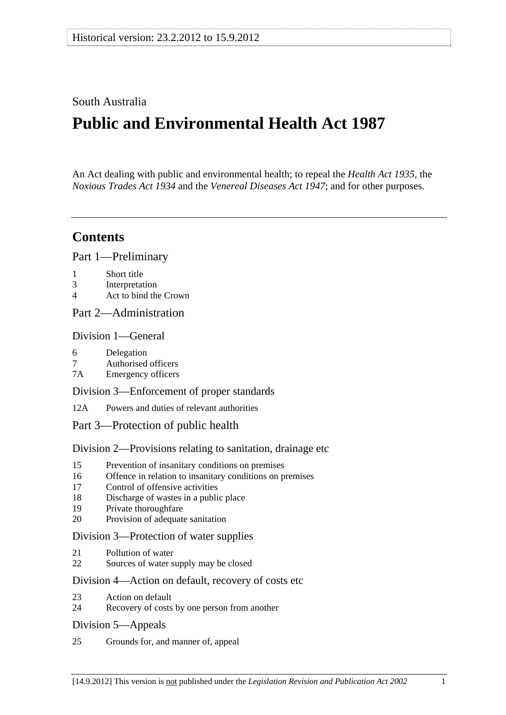## South Australia

# **Public and Environmental Health Act 1987**

An Act dealing with public and environmental health; to repeal the *[Health Act 1935](http://www.legislation.sa.gov.au/index.aspx?action=legref&type=act&legtitle=Health%20Act%201935)*, the *[Noxious Trades Act 1934](http://www.legislation.sa.gov.au/index.aspx?action=legref&type=act&legtitle=Noxious%20Trades%20Act%201934)* and the *[Venereal Diseases Act 1947](http://www.legislation.sa.gov.au/index.aspx?action=legref&type=act&legtitle=Venereal%20Diseases%20Act%201947)*; and for other purposes.

## **Contents**

[Part 1—Preliminary](#page-2-0)

- [1 Short title](#page-2-0)
- [3 Interpretation](#page-2-0)
- [4 Act to bind the Crown](#page-4-0)
- [Part 2—Administration](#page-4-0)

#### [Division 1—General](#page-4-0)

- [6 Delegation](#page-4-0)
- [7 Authorised officers](#page-5-0)
- [7A Emergency officers](#page-5-0)

[Division 3—Enforcement of proper standards](#page-6-0)

[12A Powers and duties of relevant authorities](#page-6-0)

### [Part 3—Protection of public health](#page-7-0)

[Division 2—Provisions relating to sanitation, drainage etc](#page-7-0)

- [15 Prevention of insanitary conditions on premises](#page-7-0)
- [16 Offence in relation to insanitary conditions on premises](#page-8-0)
- [17 Control of offensive activities](#page-8-0)
- [18 Discharge of wastes in a public place](#page-8-0)
- [19 Private thoroughfare](#page-9-0)
- [20 Provision of adequate sanitation](#page-9-0)

### [Division 3—Protection of water supplies](#page-10-0)

- [21 Pollution of water](#page-10-0)
- [22 Sources of water supply may be closed](#page-10-0)

### [Division 4—Action on default, recovery of costs etc](#page-11-0)

- [23 Action on default](#page-11-0)
- [24 Recovery of costs by one person from another](#page-11-0)

### [Division 5—Appeals](#page-11-0)

[25 Grounds for, and manner of, appeal](#page-11-0)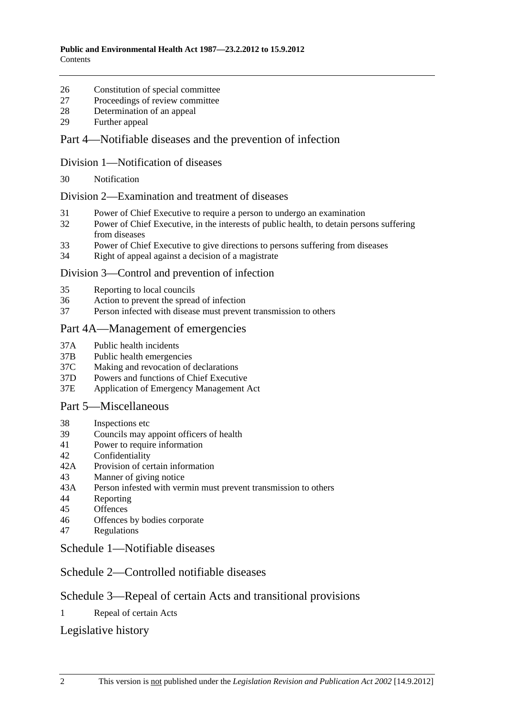- [26 Constitution of special committee](#page-12-0)
- [27 Proceedings of review committee](#page-12-0)
- [28 Determination of an appeal](#page-12-0)
- [29 Further appeal](#page-12-0)

## [Part 4—Notifiable diseases and the prevention of infection](#page-13-0)

### [Division 1—Notification of diseases](#page-13-0)

[30 Notification](#page-13-0) 

### [Division 2—Examination and treatment of diseases](#page-13-0)

- 31 Power of Chief Executive to require a person to undergo an examination<br>32 Power of Chief Executive, in the interests of public health, to detain pers
- Power of Chief Executive, in the interests of public health, to detain persons suffering [from diseases](#page-14-0)
- [33 Power of Chief Executive to give directions to persons suffering from diseases](#page-15-0)
- [34 Right of appeal against a decision of a magistrate](#page-16-0)

### [Division 3—Control and prevention of infection](#page-16-0)

- [35 Reporting to local councils](#page-16-0)
- [36 Action to prevent the spread of infection](#page-16-0)
- [37 Person infected with disease must prevent transmission to others](#page-17-0)

### [Part 4A—Management of emergencies](#page-17-0)

- [37A Public health incidents](#page-17-0)
- [37B Public health emergencies](#page-17-0)
- [37C Making and revocation of declarations](#page-18-0)
- [37D Powers and functions of Chief Executive](#page-18-0)
- [37E Application of Emergency Management Act](#page-18-0)

### [Part 5—Miscellaneous](#page-19-0)

- [38 Inspections etc](#page-19-0)
- [39 Councils may appoint officers of health](#page-20-0)
- [41 Power to require information](#page-20-0)
- [42 Confidentiality](#page-21-0)
- [42A Provision of certain information](#page-21-0)
- [43 Manner of giving notice](#page-21-0)
- [43A Person infested with vermin must prevent transmission to others](#page-22-0)
- [44 Reporting](#page-22-0)
- [45 Offences](#page-22-0)
- [46 Offences by bodies corporate](#page-23-0)
- [47 Regulations](#page-23-0)

### [Schedule 1—Notifiable diseases](#page-25-0)

## [Schedule 2—Controlled notifiable diseases](#page-27-0)

### [Schedule 3—Repeal of certain Acts and transitional provisions](#page-27-0)

[1 Repeal of certain Acts](#page-27-0) 

### [Legislative history](#page-29-0)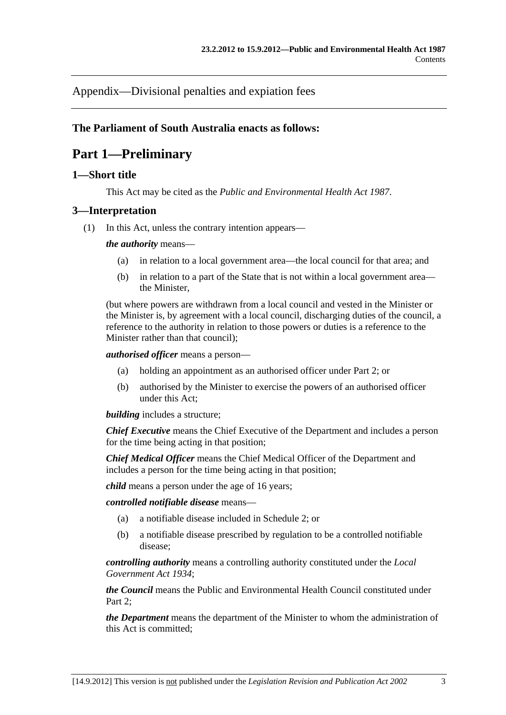<span id="page-2-0"></span>[Appendix—Divisional penalties and expiation fees](#page-34-0)

### **The Parliament of South Australia enacts as follows:**

# **Part 1—Preliminary**

### **1—Short title**

This Act may be cited as the *Public and Environmental Health Act 1987*.

### **3—Interpretation**

(1) In this Act, unless the contrary intention appears—

#### *the authority* means—

- (a) in relation to a local government area—the local council for that area; and
- (b) in relation to a part of the State that is not within a local government area the Minister,

(but where powers are withdrawn from a local council and vested in the Minister or the Minister is, by agreement with a local council, discharging duties of the council, a reference to the authority in relation to those powers or duties is a reference to the Minister rather than that council);

#### *authorised officer* means a person—

- (a) holding an appointment as an authorised officer under [Part 2](#page-4-0); or
- (b) authorised by the Minister to exercise the powers of an authorised officer under this Act;

*building* includes a structure;

*Chief Executive* means the Chief Executive of the Department and includes a person for the time being acting in that position;

*Chief Medical Officer* means the Chief Medical Officer of the Department and includes a person for the time being acting in that position;

*child* means a person under the age of 16 years;

#### *controlled notifiable disease* means—

- (a) a notifiable disease included in [Schedule 2;](#page-27-0) or
- (b) a notifiable disease prescribed by regulation to be a controlled notifiable disease;

*controlling authority* means a controlling authority constituted under the *[Local](http://www.legislation.sa.gov.au/index.aspx?action=legref&type=act&legtitle=Local%20Government%20Act%201934)  [Government Act 1934](http://www.legislation.sa.gov.au/index.aspx?action=legref&type=act&legtitle=Local%20Government%20Act%201934)*;

*the Council* means the Public and Environmental Health Council constituted under Part  $2$ 

*the Department* means the department of the Minister to whom the administration of this Act is committed;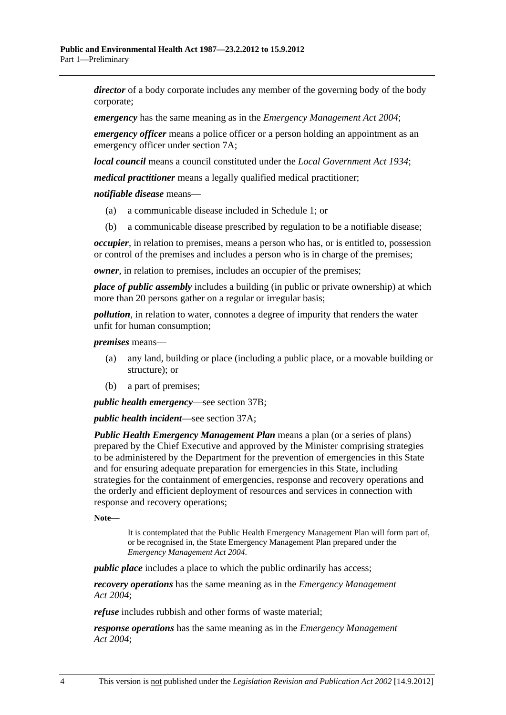*director* of a body corporate includes any member of the governing body of the body corporate;

*emergency* has the same meaning as in the *[Emergency Management Act 2004](http://www.legislation.sa.gov.au/index.aspx?action=legref&type=act&legtitle=Emergency%20Management%20Act%202004)*;

*emergency officer* means a police officer or a person holding an appointment as an emergency officer under [section 7A](#page-5-0);

*local council* means a council constituted under the *[Local Government Act 1934](http://www.legislation.sa.gov.au/index.aspx?action=legref&type=act&legtitle=Local%20Government%20Act%201934)*;

*medical practitioner* means a legally qualified medical practitioner;

*notifiable disease* means—

- (a) a communicable disease included in [Schedule 1](#page-25-0); or
- (b) a communicable disease prescribed by regulation to be a notifiable disease;

*occupier*, in relation to premises, means a person who has, or is entitled to, possession or control of the premises and includes a person who is in charge of the premises;

*owner*, in relation to premises, includes an occupier of the premises;

*place of public assembly* includes a building (in public or private ownership) at which more than 20 persons gather on a regular or irregular basis;

*pollution*, in relation to water, connotes a degree of impurity that renders the water unfit for human consumption;

*premises* means—

- (a) any land, building or place (including a public place, or a movable building or structure); or
- (b) a part of premises;

*public health emergency*—see [section 37B;](#page-17-0)

*public health incident*—see [section 37A](#page-17-0);

*Public Health Emergency Management Plan* means a plan (or a series of plans) prepared by the Chief Executive and approved by the Minister comprising strategies to be administered by the Department for the prevention of emergencies in this State and for ensuring adequate preparation for emergencies in this State, including strategies for the containment of emergencies, response and recovery operations and the orderly and efficient deployment of resources and services in connection with response and recovery operations;

**Note—** 

It is contemplated that the Public Health Emergency Management Plan will form part of, or be recognised in, the State Emergency Management Plan prepared under the *[Emergency Management Act 2004](http://www.legislation.sa.gov.au/index.aspx?action=legref&type=act&legtitle=Emergency%20Management%20Act%202004)*.

*public place* includes a place to which the public ordinarily has access;

*recovery operations* has the same meaning as in the *[Emergency Management](http://www.legislation.sa.gov.au/index.aspx?action=legref&type=act&legtitle=Emergency%20Management%20Act%202004)  [Act 2004](http://www.legislation.sa.gov.au/index.aspx?action=legref&type=act&legtitle=Emergency%20Management%20Act%202004)*;

*refuse* includes rubbish and other forms of waste material;

*response operations* has the same meaning as in the *[Emergency Management](http://www.legislation.sa.gov.au/index.aspx?action=legref&type=act&legtitle=Emergency%20Management%20Act%202004)  [Act 2004](http://www.legislation.sa.gov.au/index.aspx?action=legref&type=act&legtitle=Emergency%20Management%20Act%202004)*;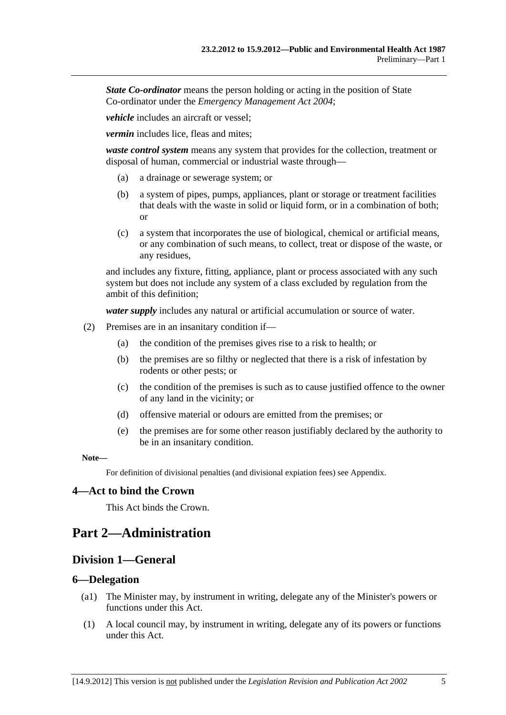<span id="page-4-0"></span>*State Co-ordinator* means the person holding or acting in the position of State Co-ordinator under the *[Emergency Management Act 2004](http://www.legislation.sa.gov.au/index.aspx?action=legref&type=act&legtitle=Emergency%20Management%20Act%202004)*;

*vehicle* includes an aircraft or vessel;

*vermin* includes lice, fleas and mites;

*waste control system* means any system that provides for the collection, treatment or disposal of human, commercial or industrial waste through—

- (a) a drainage or sewerage system; or
- (b) a system of pipes, pumps, appliances, plant or storage or treatment facilities that deals with the waste in solid or liquid form, or in a combination of both; or
- (c) a system that incorporates the use of biological, chemical or artificial means, or any combination of such means, to collect, treat or dispose of the waste, or any residues,

and includes any fixture, fitting, appliance, plant or process associated with any such system but does not include any system of a class excluded by regulation from the ambit of this definition;

*water supply* includes any natural or artificial accumulation or source of water.

- (2) Premises are in an insanitary condition if—
	- (a) the condition of the premises gives rise to a risk to health; or
	- (b) the premises are so filthy or neglected that there is a risk of infestation by rodents or other pests; or
	- (c) the condition of the premises is such as to cause justified offence to the owner of any land in the vicinity; or
	- (d) offensive material or odours are emitted from the premises; or
	- (e) the premises are for some other reason justifiably declared by the authority to be in an insanitary condition.

**Note—** 

For definition of divisional penalties (and divisional expiation fees) see Appendix.

### **4—Act to bind the Crown**

This Act binds the Crown.

# **Part 2—Administration**

### **Division 1—General**

#### **6—Delegation**

- (a1) The Minister may, by instrument in writing, delegate any of the Minister's powers or functions under this Act.
- (1) A local council may, by instrument in writing, delegate any of its powers or functions under this Act.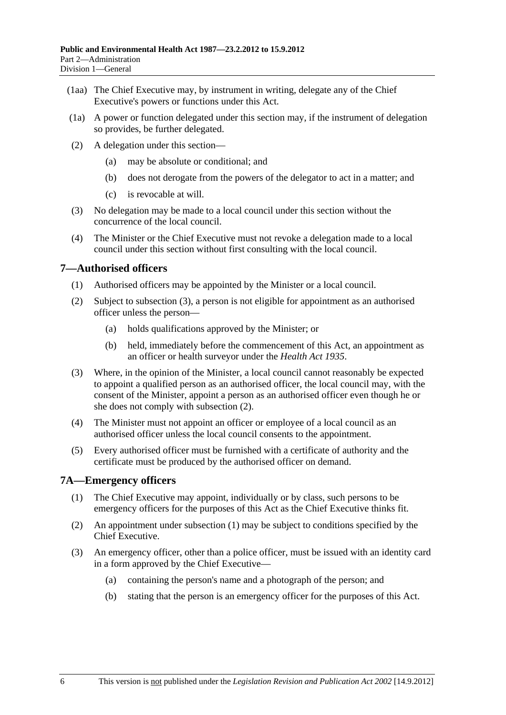- <span id="page-5-0"></span> (1aa) The Chief Executive may, by instrument in writing, delegate any of the Chief Executive's powers or functions under this Act.
- (1a) A power or function delegated under this section may, if the instrument of delegation so provides, be further delegated.
- (2) A delegation under this section—
	- (a) may be absolute or conditional; and
	- (b) does not derogate from the powers of the delegator to act in a matter; and
	- (c) is revocable at will.
- (3) No delegation may be made to a local council under this section without the concurrence of the local council.
- (4) The Minister or the Chief Executive must not revoke a delegation made to a local council under this section without first consulting with the local council.

### **7—Authorised officers**

- (1) Authorised officers may be appointed by the Minister or a local council.
- (2) Subject to [subsection \(3\),](#page-5-0) a person is not eligible for appointment as an authorised officer unless the person—
	- (a) holds qualifications approved by the Minister; or
	- (b) held, immediately before the commencement of this Act, an appointment as an officer or health surveyor under the *[Health Act 1935](http://www.legislation.sa.gov.au/index.aspx?action=legref&type=act&legtitle=Health%20Act%201935)*.
- (3) Where, in the opinion of the Minister, a local council cannot reasonably be expected to appoint a qualified person as an authorised officer, the local council may, with the consent of the Minister, appoint a person as an authorised officer even though he or she does not comply with [subsection \(2\).](#page-5-0)
- (4) The Minister must not appoint an officer or employee of a local council as an authorised officer unless the local council consents to the appointment.
- (5) Every authorised officer must be furnished with a certificate of authority and the certificate must be produced by the authorised officer on demand.

### **7A—Emergency officers**

- (1) The Chief Executive may appoint, individually or by class, such persons to be emergency officers for the purposes of this Act as the Chief Executive thinks fit.
- (2) An appointment under [subsection \(1\)](#page-5-0) may be subject to conditions specified by the Chief Executive.
- (3) An emergency officer, other than a police officer, must be issued with an identity card in a form approved by the Chief Executive—
	- (a) containing the person's name and a photograph of the person; and
	- (b) stating that the person is an emergency officer for the purposes of this Act.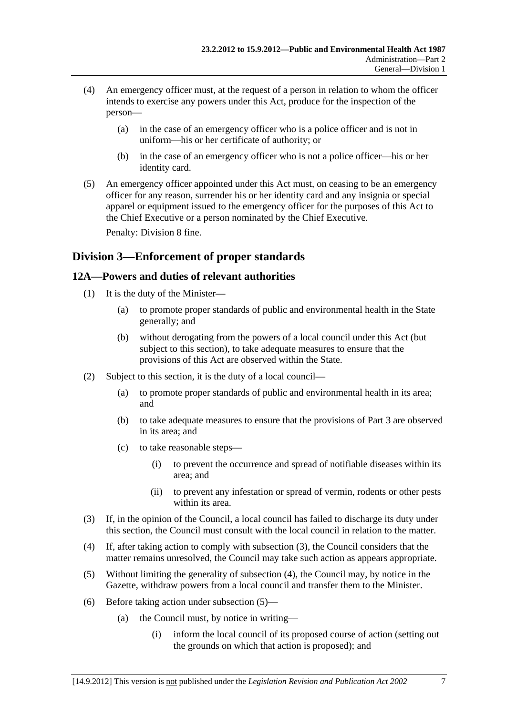- <span id="page-6-0"></span> (4) An emergency officer must, at the request of a person in relation to whom the officer intends to exercise any powers under this Act, produce for the inspection of the person—
	- (a) in the case of an emergency officer who is a police officer and is not in uniform—his or her certificate of authority; or
	- (b) in the case of an emergency officer who is not a police officer—his or her identity card.
- (5) An emergency officer appointed under this Act must, on ceasing to be an emergency officer for any reason, surrender his or her identity card and any insignia or special apparel or equipment issued to the emergency officer for the purposes of this Act to the Chief Executive or a person nominated by the Chief Executive.

Penalty: Division 8 fine.

## **Division 3—Enforcement of proper standards**

## **12A—Powers and duties of relevant authorities**

- (1) It is the duty of the Minister—
	- (a) to promote proper standards of public and environmental health in the State generally; and
	- (b) without derogating from the powers of a local council under this Act (but subject to this section), to take adequate measures to ensure that the provisions of this Act are observed within the State.
- (2) Subject to this section, it is the duty of a local council—
	- (a) to promote proper standards of public and environmental health in its area; and
	- (b) to take adequate measures to ensure that the provisions of [Part 3](#page-7-0) are observed in its area; and
	- (c) to take reasonable steps—
		- (i) to prevent the occurrence and spread of notifiable diseases within its area; and
		- (ii) to prevent any infestation or spread of vermin, rodents or other pests within its area.
- (3) If, in the opinion of the Council, a local council has failed to discharge its duty under this section, the Council must consult with the local council in relation to the matter.
- (4) If, after taking action to comply with [subsection \(3\)](#page-6-0), the Council considers that the matter remains unresolved, the Council may take such action as appears appropriate.
- (5) Without limiting the generality of [subsection \(4\),](#page-6-0) the Council may, by notice in the Gazette, withdraw powers from a local council and transfer them to the Minister.
- (6) Before taking action under [subsection \(5\)](#page-6-0)
	- (a) the Council must, by notice in writing—
		- (i) inform the local council of its proposed course of action (setting out the grounds on which that action is proposed); and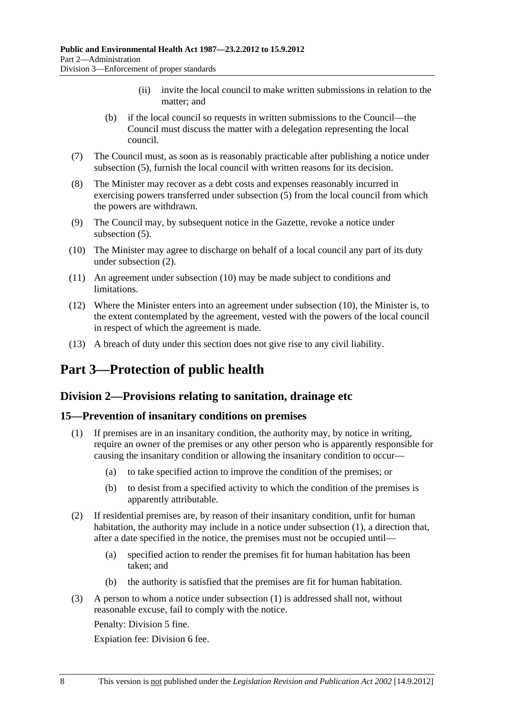- (ii) invite the local council to make written submissions in relation to the matter; and
- <span id="page-7-0"></span> (b) if the local council so requests in written submissions to the Council—the Council must discuss the matter with a delegation representing the local council.
- (7) The Council must, as soon as is reasonably practicable after publishing a notice under [subsection \(5\),](#page-6-0) furnish the local council with written reasons for its decision.
- (8) The Minister may recover as a debt costs and expenses reasonably incurred in exercising powers transferred under [subsection \(5\)](#page-6-0) from the local council from which the powers are withdrawn.
- (9) The Council may, by subsequent notice in the Gazette, revoke a notice under [subsection \(5\).](#page-6-0)
- (10) The Minister may agree to discharge on behalf of a local council any part of its duty under [subsection \(2\).](#page-6-0)
- (11) An agreement under [subsection \(10\)](#page-7-0) may be made subject to conditions and limitations.
- (12) Where the Minister enters into an agreement under [subsection \(10\)](#page-7-0), the Minister is, to the extent contemplated by the agreement, vested with the powers of the local council in respect of which the agreement is made.
- (13) A breach of duty under this section does not give rise to any civil liability.

# **Part 3—Protection of public health**

## **Division 2—Provisions relating to sanitation, drainage etc**

### **15—Prevention of insanitary conditions on premises**

- (1) If premises are in an insanitary condition, the authority may, by notice in writing, require an owner of the premises or any other person who is apparently responsible for causing the insanitary condition or allowing the insanitary condition to occur—
	- (a) to take specified action to improve the condition of the premises; or
	- (b) to desist from a specified activity to which the condition of the premises is apparently attributable.
- (2) If residential premises are, by reason of their insanitary condition, unfit for human habitation, the authority may include in a notice under [subsection \(1\),](#page-7-0) a direction that, after a date specified in the notice, the premises must not be occupied until—
	- (a) specified action to render the premises fit for human habitation has been taken; and
	- (b) the authority is satisfied that the premises are fit for human habitation.
- (3) A person to whom a notice under [subsection \(1\)](#page-7-0) is addressed shall not, without reasonable excuse, fail to comply with the notice.

Penalty: Division 5 fine.

Expiation fee: Division 6 fee.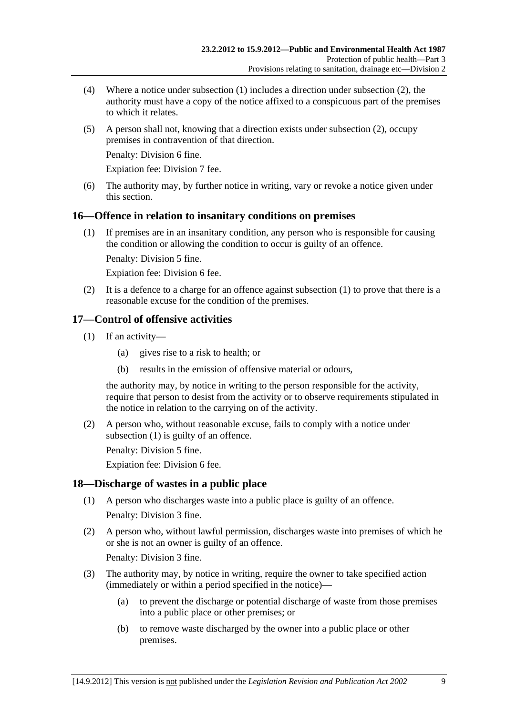- <span id="page-8-0"></span> (4) Where a notice under [subsection \(1\)](#page-7-0) includes a direction under [subsection \(2\),](#page-7-0) the authority must have a copy of the notice affixed to a conspicuous part of the premises to which it relates.
- (5) A person shall not, knowing that a direction exists under [subsection \(2\),](#page-7-0) occupy premises in contravention of that direction.

Penalty: Division 6 fine.

Expiation fee: Division 7 fee.

 (6) The authority may, by further notice in writing, vary or revoke a notice given under this section.

## **16—Offence in relation to insanitary conditions on premises**

 (1) If premises are in an insanitary condition, any person who is responsible for causing the condition or allowing the condition to occur is guilty of an offence.

Penalty: Division 5 fine.

Expiation fee: Division 6 fee.

 (2) It is a defence to a charge for an offence against [subsection \(1\)](#page-8-0) to prove that there is a reasonable excuse for the condition of the premises.

## **17—Control of offensive activities**

- (1) If an activity—
	- (a) gives rise to a risk to health; or
	- (b) results in the emission of offensive material or odours,

the authority may, by notice in writing to the person responsible for the activity, require that person to desist from the activity or to observe requirements stipulated in the notice in relation to the carrying on of the activity.

 (2) A person who, without reasonable excuse, fails to comply with a notice under [subsection \(1\)](#page-8-0) is guilty of an offence.

Penalty: Division 5 fine.

Expiation fee: Division 6 fee.

### **18—Discharge of wastes in a public place**

- (1) A person who discharges waste into a public place is guilty of an offence. Penalty: Division 3 fine.
- (2) A person who, without lawful permission, discharges waste into premises of which he or she is not an owner is guilty of an offence.

Penalty: Division 3 fine.

- (3) The authority may, by notice in writing, require the owner to take specified action (immediately or within a period specified in the notice)—
	- (a) to prevent the discharge or potential discharge of waste from those premises into a public place or other premises; or
	- (b) to remove waste discharged by the owner into a public place or other premises.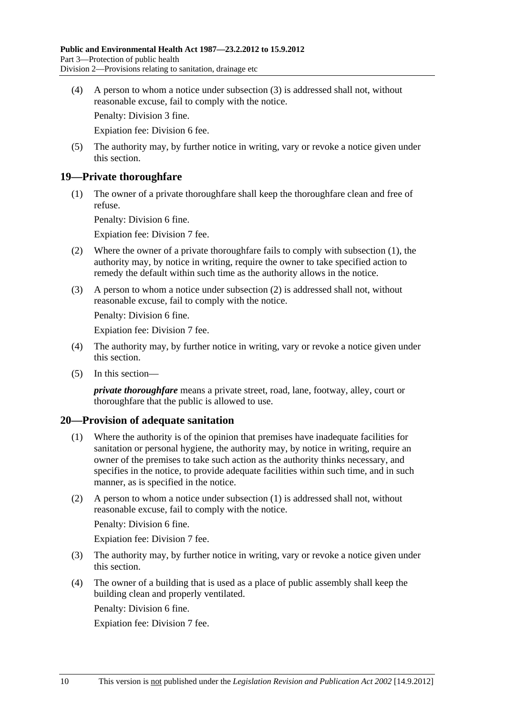<span id="page-9-0"></span> (4) A person to whom a notice under [subsection \(3\)](#page-8-0) is addressed shall not, without reasonable excuse, fail to comply with the notice.

Penalty: Division 3 fine.

Expiation fee: Division 6 fee.

 (5) The authority may, by further notice in writing, vary or revoke a notice given under this section.

### **19—Private thoroughfare**

 (1) The owner of a private thoroughfare shall keep the thoroughfare clean and free of refuse.

Penalty: Division 6 fine.

Expiation fee: Division 7 fee.

- (2) Where the owner of a private thoroughfare fails to comply with [subsection \(1\)](#page-9-0), the authority may, by notice in writing, require the owner to take specified action to remedy the default within such time as the authority allows in the notice.
- (3) A person to whom a notice under [subsection \(2\)](#page-9-0) is addressed shall not, without reasonable excuse, fail to comply with the notice.

Penalty: Division 6 fine.

Expiation fee: Division 7 fee.

- (4) The authority may, by further notice in writing, vary or revoke a notice given under this section.
- (5) In this section—

*private thoroughfare* means a private street, road, lane, footway, alley, court or thoroughfare that the public is allowed to use.

### **20—Provision of adequate sanitation**

- (1) Where the authority is of the opinion that premises have inadequate facilities for sanitation or personal hygiene, the authority may, by notice in writing, require an owner of the premises to take such action as the authority thinks necessary, and specifies in the notice, to provide adequate facilities within such time, and in such manner, as is specified in the notice.
- (2) A person to whom a notice under [subsection \(1\)](#page-9-0) is addressed shall not, without reasonable excuse, fail to comply with the notice.

Penalty: Division 6 fine.

Expiation fee: Division 7 fee.

- (3) The authority may, by further notice in writing, vary or revoke a notice given under this section.
- (4) The owner of a building that is used as a place of public assembly shall keep the building clean and properly ventilated.

Penalty: Division 6 fine.

Expiation fee: Division 7 fee.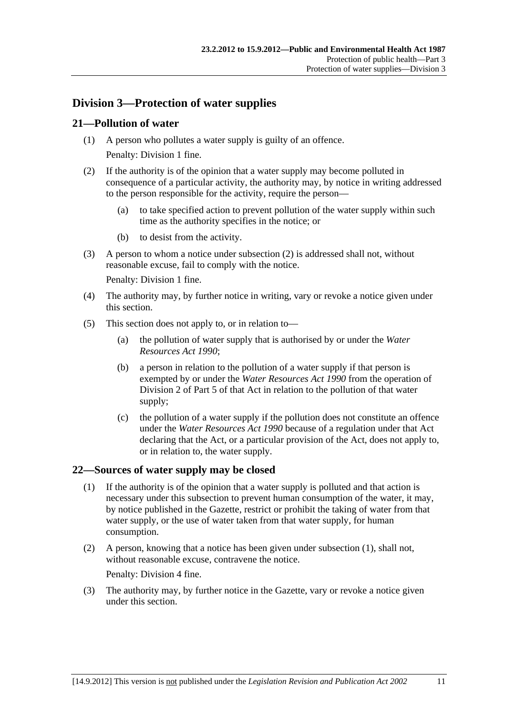# <span id="page-10-0"></span>**Division 3—Protection of water supplies**

### **21—Pollution of water**

(1) A person who pollutes a water supply is guilty of an offence.

Penalty: Division 1 fine.

- (2) If the authority is of the opinion that a water supply may become polluted in consequence of a particular activity, the authority may, by notice in writing addressed to the person responsible for the activity, require the person—
	- (a) to take specified action to prevent pollution of the water supply within such time as the authority specifies in the notice; or
	- (b) to desist from the activity.
- (3) A person to whom a notice under [subsection \(2\)](#page-10-0) is addressed shall not, without reasonable excuse, fail to comply with the notice.

Penalty: Division 1 fine.

- (4) The authority may, by further notice in writing, vary or revoke a notice given under this section.
- (5) This section does not apply to, or in relation to—
	- (a) the pollution of water supply that is authorised by or under the *[Water](http://www.legislation.sa.gov.au/index.aspx?action=legref&type=act&legtitle=Water%20Resources%20Act%201990)  [Resources Act 1990](http://www.legislation.sa.gov.au/index.aspx?action=legref&type=act&legtitle=Water%20Resources%20Act%201990)*;
	- (b) a person in relation to the pollution of a water supply if that person is exempted by or under the *[Water Resources Act 1990](http://www.legislation.sa.gov.au/index.aspx?action=legref&type=act&legtitle=Water%20Resources%20Act%201990)* from the operation of Division 2 of Part 5 of that Act in relation to the pollution of that water supply;
	- (c) the pollution of a water supply if the pollution does not constitute an offence under the *[Water Resources Act 1990](http://www.legislation.sa.gov.au/index.aspx?action=legref&type=act&legtitle=Water%20Resources%20Act%201990)* because of a regulation under that Act declaring that the Act, or a particular provision of the Act, does not apply to, or in relation to, the water supply.

## **22—Sources of water supply may be closed**

- (1) If the authority is of the opinion that a water supply is polluted and that action is necessary under this subsection to prevent human consumption of the water, it may, by notice published in the Gazette, restrict or prohibit the taking of water from that water supply, or the use of water taken from that water supply, for human consumption.
- (2) A person, knowing that a notice has been given under [subsection \(1\),](#page-10-0) shall not, without reasonable excuse, contravene the notice. Penalty: Division 4 fine.
- (3) The authority may, by further notice in the Gazette, vary or revoke a notice given under this section.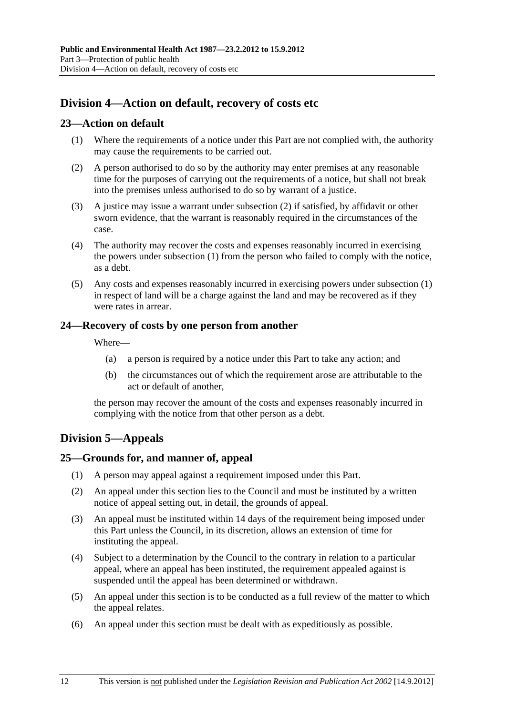# <span id="page-11-0"></span>**Division 4—Action on default, recovery of costs etc**

### **23—Action on default**

- (1) Where the requirements of a notice under this Part are not complied with, the authority may cause the requirements to be carried out.
- (2) A person authorised to do so by the authority may enter premises at any reasonable time for the purposes of carrying out the requirements of a notice, but shall not break into the premises unless authorised to do so by warrant of a justice.
- (3) A justice may issue a warrant under [subsection \(2\)](#page-11-0) if satisfied, by affidavit or other sworn evidence, that the warrant is reasonably required in the circumstances of the case.
- (4) The authority may recover the costs and expenses reasonably incurred in exercising the powers under [subsection \(1\)](#page-11-0) from the person who failed to comply with the notice, as a debt.
- (5) Any costs and expenses reasonably incurred in exercising powers under [subsection \(1\)](#page-11-0)  in respect of land will be a charge against the land and may be recovered as if they were rates in arrear.

## **24—Recovery of costs by one person from another**

Where—

- (a) a person is required by a notice under this Part to take any action; and
- (b) the circumstances out of which the requirement arose are attributable to the act or default of another,

the person may recover the amount of the costs and expenses reasonably incurred in complying with the notice from that other person as a debt.

# **Division 5—Appeals**

### **25—Grounds for, and manner of, appeal**

- (1) A person may appeal against a requirement imposed under this Part.
- (2) An appeal under this section lies to the Council and must be instituted by a written notice of appeal setting out, in detail, the grounds of appeal.
- (3) An appeal must be instituted within 14 days of the requirement being imposed under this Part unless the Council, in its discretion, allows an extension of time for instituting the appeal.
- (4) Subject to a determination by the Council to the contrary in relation to a particular appeal, where an appeal has been instituted, the requirement appealed against is suspended until the appeal has been determined or withdrawn.
- (5) An appeal under this section is to be conducted as a full review of the matter to which the appeal relates.
- (6) An appeal under this section must be dealt with as expeditiously as possible.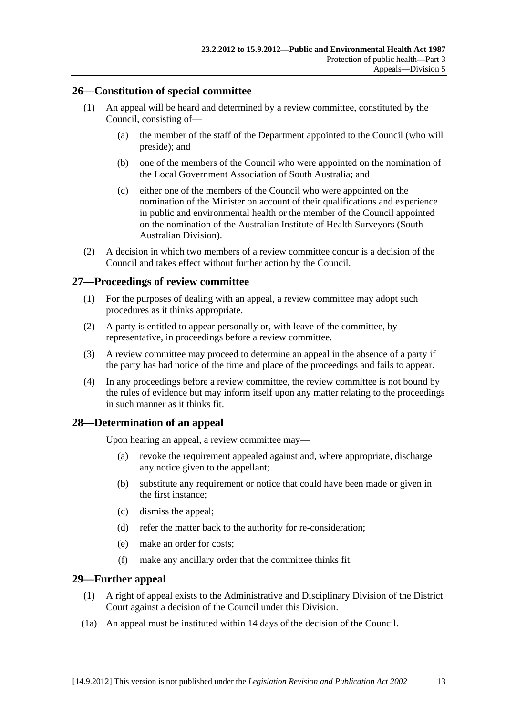### <span id="page-12-0"></span>**26—Constitution of special committee**

- (1) An appeal will be heard and determined by a review committee, constituted by the Council, consisting of—
	- (a) the member of the staff of the Department appointed to the Council (who will preside); and
	- (b) one of the members of the Council who were appointed on the nomination of the Local Government Association of South Australia; and
	- (c) either one of the members of the Council who were appointed on the nomination of the Minister on account of their qualifications and experience in public and environmental health or the member of the Council appointed on the nomination of the Australian Institute of Health Surveyors (South Australian Division).
- (2) A decision in which two members of a review committee concur is a decision of the Council and takes effect without further action by the Council.

### **27—Proceedings of review committee**

- (1) For the purposes of dealing with an appeal, a review committee may adopt such procedures as it thinks appropriate.
- (2) A party is entitled to appear personally or, with leave of the committee, by representative, in proceedings before a review committee.
- (3) A review committee may proceed to determine an appeal in the absence of a party if the party has had notice of the time and place of the proceedings and fails to appear.
- (4) In any proceedings before a review committee, the review committee is not bound by the rules of evidence but may inform itself upon any matter relating to the proceedings in such manner as it thinks fit.

### **28—Determination of an appeal**

Upon hearing an appeal, a review committee may—

- (a) revoke the requirement appealed against and, where appropriate, discharge any notice given to the appellant;
- (b) substitute any requirement or notice that could have been made or given in the first instance;
- (c) dismiss the appeal;
- (d) refer the matter back to the authority for re-consideration;
- (e) make an order for costs;
- (f) make any ancillary order that the committee thinks fit.

### **29—Further appeal**

- (1) A right of appeal exists to the Administrative and Disciplinary Division of the District Court against a decision of the Council under this Division.
- (1a) An appeal must be instituted within 14 days of the decision of the Council.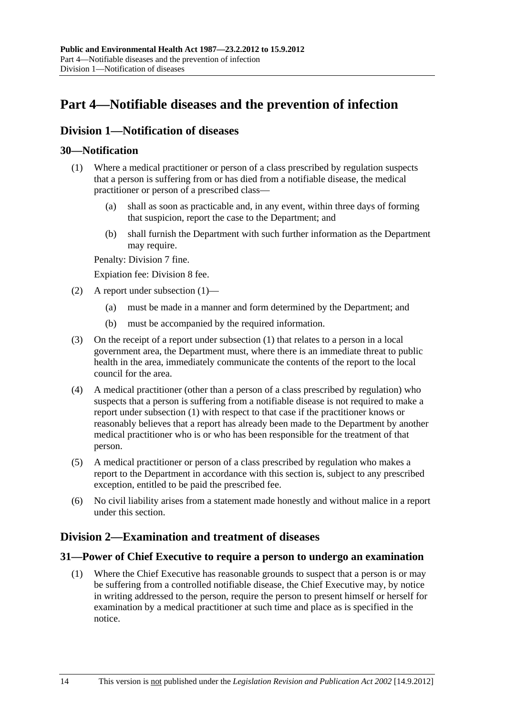# <span id="page-13-0"></span>**Part 4—Notifiable diseases and the prevention of infection**

## **Division 1—Notification of diseases**

### **30—Notification**

- (1) Where a medical practitioner or person of a class prescribed by regulation suspects that a person is suffering from or has died from a notifiable disease, the medical practitioner or person of a prescribed class—
	- (a) shall as soon as practicable and, in any event, within three days of forming that suspicion, report the case to the Department; and
	- (b) shall furnish the Department with such further information as the Department may require.

Penalty: Division 7 fine.

Expiation fee: Division 8 fee.

- (2) A report under [subsection \(1\)](#page-13-0)
	- (a) must be made in a manner and form determined by the Department; and
	- (b) must be accompanied by the required information.
- (3) On the receipt of a report under [subsection \(1\)](#page-13-0) that relates to a person in a local government area, the Department must, where there is an immediate threat to public health in the area, immediately communicate the contents of the report to the local council for the area.
- (4) A medical practitioner (other than a person of a class prescribed by regulation) who suspects that a person is suffering from a notifiable disease is not required to make a report under [subsection \(1\)](#page-13-0) with respect to that case if the practitioner knows or reasonably believes that a report has already been made to the Department by another medical practitioner who is or who has been responsible for the treatment of that person.
- (5) A medical practitioner or person of a class prescribed by regulation who makes a report to the Department in accordance with this section is, subject to any prescribed exception, entitled to be paid the prescribed fee.
- (6) No civil liability arises from a statement made honestly and without malice in a report under this section.

### **Division 2—Examination and treatment of diseases**

### **31—Power of Chief Executive to require a person to undergo an examination**

 (1) Where the Chief Executive has reasonable grounds to suspect that a person is or may be suffering from a controlled notifiable disease, the Chief Executive may, by notice in writing addressed to the person, require the person to present himself or herself for examination by a medical practitioner at such time and place as is specified in the notice.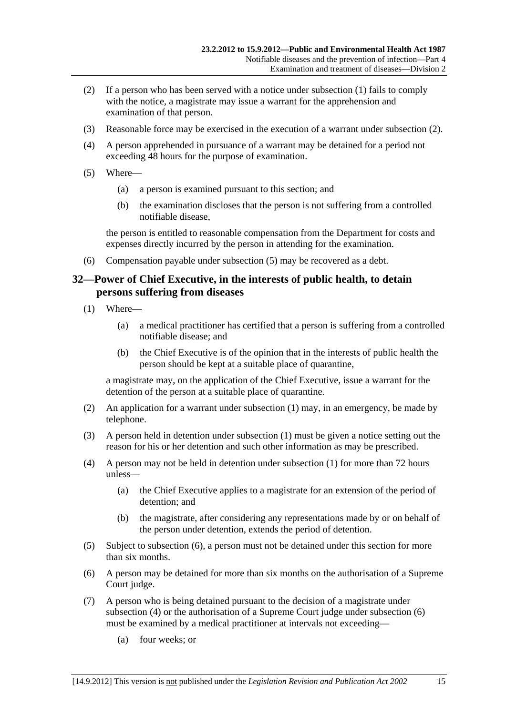- <span id="page-14-0"></span> (2) If a person who has been served with a notice under [subsection \(1\)](#page-13-0) fails to comply with the notice, a magistrate may issue a warrant for the apprehension and examination of that person.
- (3) Reasonable force may be exercised in the execution of a warrant under [subsection \(2\).](#page-14-0)
- (4) A person apprehended in pursuance of a warrant may be detained for a period not exceeding 48 hours for the purpose of examination.
- (5) Where—
	- (a) a person is examined pursuant to this section; and
	- (b) the examination discloses that the person is not suffering from a controlled notifiable disease,

the person is entitled to reasonable compensation from the Department for costs and expenses directly incurred by the person in attending for the examination.

(6) Compensation payable under [subsection \(5\)](#page-14-0) may be recovered as a debt.

## **32—Power of Chief Executive, in the interests of public health, to detain persons suffering from diseases**

- (1) Where—
	- (a) a medical practitioner has certified that a person is suffering from a controlled notifiable disease; and
	- (b) the Chief Executive is of the opinion that in the interests of public health the person should be kept at a suitable place of quarantine,

a magistrate may, on the application of the Chief Executive, issue a warrant for the detention of the person at a suitable place of quarantine.

- (2) An application for a warrant under [subsection \(1\)](#page-14-0) may, in an emergency, be made by telephone.
- (3) A person held in detention under [subsection \(1\)](#page-14-0) must be given a notice setting out the reason for his or her detention and such other information as may be prescribed.
- (4) A person may not be held in detention under [subsection \(1\)](#page-14-0) for more than 72 hours unless—
	- (a) the Chief Executive applies to a magistrate for an extension of the period of detention; and
	- (b) the magistrate, after considering any representations made by or on behalf of the person under detention, extends the period of detention.
- (5) Subject to [subsection \(6\),](#page-14-0) a person must not be detained under this section for more than six months.
- (6) A person may be detained for more than six months on the authorisation of a Supreme Court judge.
- (7) A person who is being detained pursuant to the decision of a magistrate under [subsection \(4\)](#page-14-0) or the authorisation of a Supreme Court judge under [subsection \(6\)](#page-14-0) must be examined by a medical practitioner at intervals not exceeding—
	- (a) four weeks; or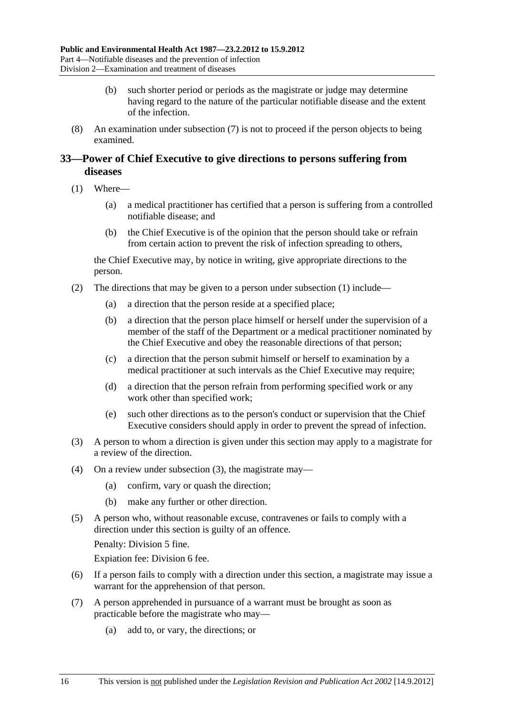- <span id="page-15-0"></span> (b) such shorter period or periods as the magistrate or judge may determine having regard to the nature of the particular notifiable disease and the extent of the infection.
- (8) An examination under [subsection \(7\)](#page-14-0) is not to proceed if the person objects to being examined.

## **33—Power of Chief Executive to give directions to persons suffering from diseases**

- (1) Where—
	- (a) a medical practitioner has certified that a person is suffering from a controlled notifiable disease; and
	- (b) the Chief Executive is of the opinion that the person should take or refrain from certain action to prevent the risk of infection spreading to others,

the Chief Executive may, by notice in writing, give appropriate directions to the person.

- (2) The directions that may be given to a person under [subsection \(1\)](#page-15-0) include—
	- (a) a direction that the person reside at a specified place;
	- (b) a direction that the person place himself or herself under the supervision of a member of the staff of the Department or a medical practitioner nominated by the Chief Executive and obey the reasonable directions of that person;
	- (c) a direction that the person submit himself or herself to examination by a medical practitioner at such intervals as the Chief Executive may require;
	- (d) a direction that the person refrain from performing specified work or any work other than specified work;
	- (e) such other directions as to the person's conduct or supervision that the Chief Executive considers should apply in order to prevent the spread of infection.
- (3) A person to whom a direction is given under this section may apply to a magistrate for a review of the direction.
- (4) On a review under [subsection \(3\),](#page-15-0) the magistrate may—
	- (a) confirm, vary or quash the direction;
	- (b) make any further or other direction.
- (5) A person who, without reasonable excuse, contravenes or fails to comply with a direction under this section is guilty of an offence.

Penalty: Division 5 fine.

Expiation fee: Division 6 fee.

- (6) If a person fails to comply with a direction under this section, a magistrate may issue a warrant for the apprehension of that person.
- (7) A person apprehended in pursuance of a warrant must be brought as soon as practicable before the magistrate who may—
	- (a) add to, or vary, the directions; or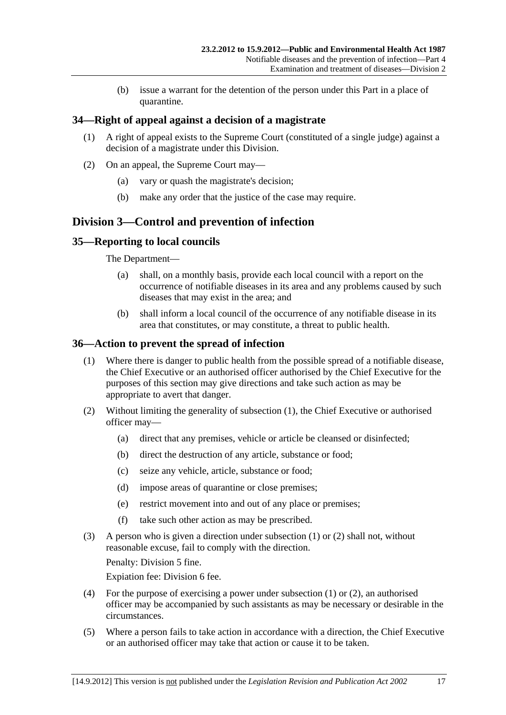(b) issue a warrant for the detention of the person under this Part in a place of quarantine.

## <span id="page-16-0"></span>**34—Right of appeal against a decision of a magistrate**

- (1) A right of appeal exists to the Supreme Court (constituted of a single judge) against a decision of a magistrate under this Division.
- (2) On an appeal, the Supreme Court may—
	- (a) vary or quash the magistrate's decision;
	- (b) make any order that the justice of the case may require.

# **Division 3—Control and prevention of infection**

### **35—Reporting to local councils**

The Department—

- (a) shall, on a monthly basis, provide each local council with a report on the occurrence of notifiable diseases in its area and any problems caused by such diseases that may exist in the area; and
- (b) shall inform a local council of the occurrence of any notifiable disease in its area that constitutes, or may constitute, a threat to public health.

## **36—Action to prevent the spread of infection**

- (1) Where there is danger to public health from the possible spread of a notifiable disease, the Chief Executive or an authorised officer authorised by the Chief Executive for the purposes of this section may give directions and take such action as may be appropriate to avert that danger.
- (2) Without limiting the generality of [subsection \(1\),](#page-16-0) the Chief Executive or authorised officer may—
	- (a) direct that any premises, vehicle or article be cleansed or disinfected;
	- (b) direct the destruction of any article, substance or food;
	- (c) seize any vehicle, article, substance or food;
	- (d) impose areas of quarantine or close premises;
	- (e) restrict movement into and out of any place or premises;
	- (f) take such other action as may be prescribed.
- (3) A person who is given a direction under [subsection \(1\)](#page-16-0) or [\(2\)](#page-16-0) shall not, without reasonable excuse, fail to comply with the direction.

Penalty: Division 5 fine.

Expiation fee: Division 6 fee.

- (4) For the purpose of exercising a power under [subsection \(1\)](#page-16-0) or [\(2\),](#page-16-0) an authorised officer may be accompanied by such assistants as may be necessary or desirable in the circumstances.
- (5) Where a person fails to take action in accordance with a direction, the Chief Executive or an authorised officer may take that action or cause it to be taken.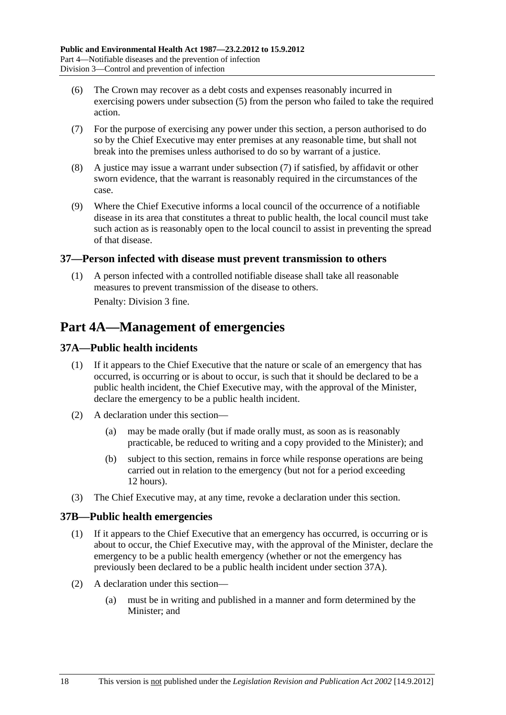- <span id="page-17-0"></span> (6) The Crown may recover as a debt costs and expenses reasonably incurred in exercising powers under [subsection \(5\)](#page-16-0) from the person who failed to take the required action.
- (7) For the purpose of exercising any power under this section, a person authorised to do so by the Chief Executive may enter premises at any reasonable time, but shall not break into the premises unless authorised to do so by warrant of a justice.
- (8) A justice may issue a warrant under [subsection \(7\)](#page-17-0) if satisfied, by affidavit or other sworn evidence, that the warrant is reasonably required in the circumstances of the case.
- (9) Where the Chief Executive informs a local council of the occurrence of a notifiable disease in its area that constitutes a threat to public health, the local council must take such action as is reasonably open to the local council to assist in preventing the spread of that disease.

### **37—Person infected with disease must prevent transmission to others**

 (1) A person infected with a controlled notifiable disease shall take all reasonable measures to prevent transmission of the disease to others.

Penalty: Division 3 fine.

# **Part 4A—Management of emergencies**

## **37A—Public health incidents**

- (1) If it appears to the Chief Executive that the nature or scale of an emergency that has occurred, is occurring or is about to occur, is such that it should be declared to be a public health incident, the Chief Executive may, with the approval of the Minister, declare the emergency to be a public health incident.
- (2) A declaration under this section—
	- (a) may be made orally (but if made orally must, as soon as is reasonably practicable, be reduced to writing and a copy provided to the Minister); and
	- (b) subject to this section, remains in force while response operations are being carried out in relation to the emergency (but not for a period exceeding 12 hours).
- (3) The Chief Executive may, at any time, revoke a declaration under this section.

### **37B—Public health emergencies**

- (1) If it appears to the Chief Executive that an emergency has occurred, is occurring or is about to occur, the Chief Executive may, with the approval of the Minister, declare the emergency to be a public health emergency (whether or not the emergency has previously been declared to be a public health incident under [section 37A\)](#page-17-0).
- (2) A declaration under this section—
	- (a) must be in writing and published in a manner and form determined by the Minister; and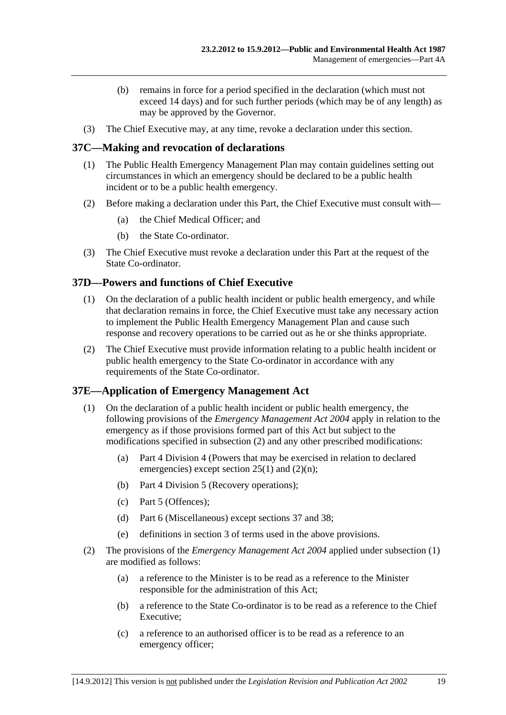- <span id="page-18-0"></span> (b) remains in force for a period specified in the declaration (which must not exceed 14 days) and for such further periods (which may be of any length) as may be approved by the Governor.
- (3) The Chief Executive may, at any time, revoke a declaration under this section.

## **37C—Making and revocation of declarations**

- (1) The Public Health Emergency Management Plan may contain guidelines setting out circumstances in which an emergency should be declared to be a public health incident or to be a public health emergency.
- (2) Before making a declaration under this Part, the Chief Executive must consult with—
	- (a) the Chief Medical Officer; and
	- (b) the State Co-ordinator.
- (3) The Chief Executive must revoke a declaration under this Part at the request of the State Co-ordinator.

### **37D—Powers and functions of Chief Executive**

- (1) On the declaration of a public health incident or public health emergency, and while that declaration remains in force, the Chief Executive must take any necessary action to implement the Public Health Emergency Management Plan and cause such response and recovery operations to be carried out as he or she thinks appropriate.
- (2) The Chief Executive must provide information relating to a public health incident or public health emergency to the State Co-ordinator in accordance with any requirements of the State Co-ordinator.

## **37E—Application of Emergency Management Act**

- (1) On the declaration of a public health incident or public health emergency, the following provisions of the *[Emergency Management Act 2004](http://www.legislation.sa.gov.au/index.aspx?action=legref&type=act&legtitle=Emergency%20Management%20Act%202004)* apply in relation to the emergency as if those provisions formed part of this Act but subject to the modifications specified in [subsection \(2\)](#page-18-0) and any other prescribed modifications:
	- (a) Part 4 Division 4 (Powers that may be exercised in relation to declared emergencies) except section 25(1) and (2)(n);
	- (b) Part 4 Division 5 (Recovery operations);
	- (c) Part 5 (Offences);
	- (d) Part 6 (Miscellaneous) except sections 37 and 38;
	- (e) definitions in section 3 of terms used in the above provisions.
- (2) The provisions of the *[Emergency Management Act 2004](http://www.legislation.sa.gov.au/index.aspx?action=legref&type=act&legtitle=Emergency%20Management%20Act%202004)* applied under [subsection \(1\)](#page-18-0)  are modified as follows:
	- (a) a reference to the Minister is to be read as a reference to the Minister responsible for the administration of this Act;
	- (b) a reference to the State Co-ordinator is to be read as a reference to the Chief Executive;
	- (c) a reference to an authorised officer is to be read as a reference to an emergency officer;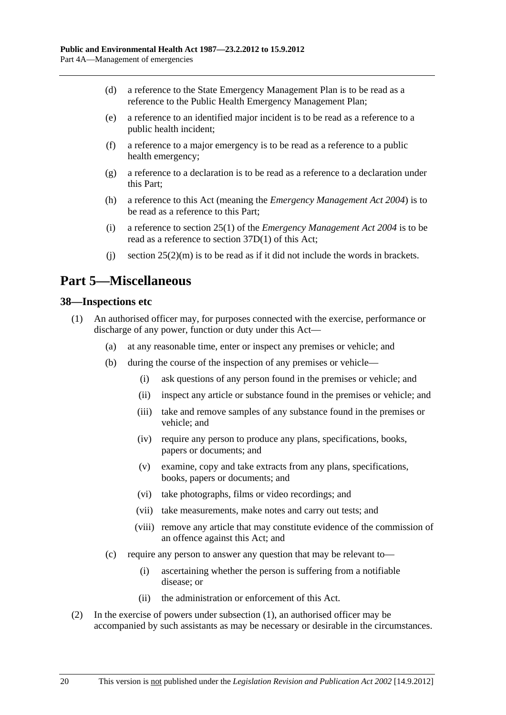- <span id="page-19-0"></span> (d) a reference to the State Emergency Management Plan is to be read as a reference to the Public Health Emergency Management Plan;
- (e) a reference to an identified major incident is to be read as a reference to a public health incident;
- (f) a reference to a major emergency is to be read as a reference to a public health emergency;
- (g) a reference to a declaration is to be read as a reference to a declaration under this Part;
- (h) a reference to this Act (meaning the *[Emergency Management Act 2004](http://www.legislation.sa.gov.au/index.aspx?action=legref&type=act&legtitle=Emergency%20Management%20Act%202004)*) is to be read as a reference to this Part;
- (i) a reference to section 25(1) of the *[Emergency Management Act 2004](http://www.legislation.sa.gov.au/index.aspx?action=legref&type=act&legtitle=Emergency%20Management%20Act%202004)* is to be read as a reference to [section 37D\(1\)](#page-18-0) of this Act;
- (i) section  $25(2)(m)$  is to be read as if it did not include the words in brackets.

# **Part 5—Miscellaneous**

### **38—Inspections etc**

- (1) An authorised officer may, for purposes connected with the exercise, performance or discharge of any power, function or duty under this Act—
	- (a) at any reasonable time, enter or inspect any premises or vehicle; and
	- (b) during the course of the inspection of any premises or vehicle—
		- (i) ask questions of any person found in the premises or vehicle; and
		- (ii) inspect any article or substance found in the premises or vehicle; and
		- (iii) take and remove samples of any substance found in the premises or vehicle; and
		- (iv) require any person to produce any plans, specifications, books, papers or documents; and
		- (v) examine, copy and take extracts from any plans, specifications, books, papers or documents; and
		- (vi) take photographs, films or video recordings; and
		- (vii) take measurements, make notes and carry out tests; and
		- (viii) remove any article that may constitute evidence of the commission of an offence against this Act; and
	- (c) require any person to answer any question that may be relevant to—
		- (i) ascertaining whether the person is suffering from a notifiable disease; or
		- (ii) the administration or enforcement of this Act.
- (2) In the exercise of powers under [subsection \(1\)](#page-19-0), an authorised officer may be accompanied by such assistants as may be necessary or desirable in the circumstances.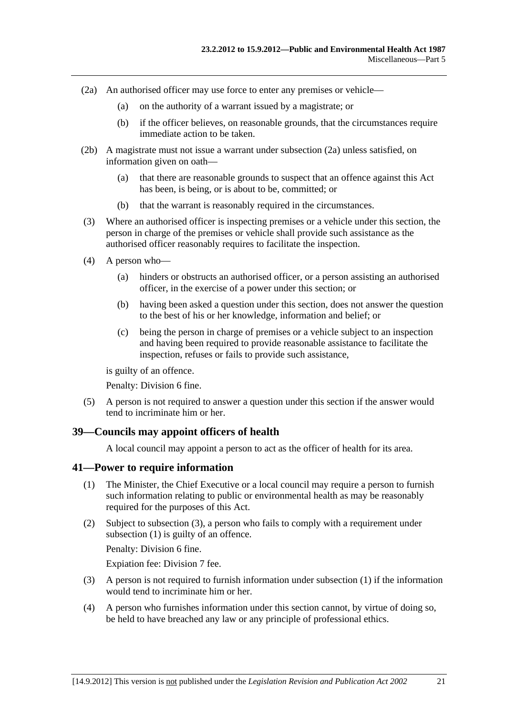- <span id="page-20-0"></span> (2a) An authorised officer may use force to enter any premises or vehicle—
	- (a) on the authority of a warrant issued by a magistrate; or
	- (b) if the officer believes, on reasonable grounds, that the circumstances require immediate action to be taken.
- (2b) A magistrate must not issue a warrant under [subsection \(2a\)](#page-20-0) unless satisfied, on information given on oath—
	- (a) that there are reasonable grounds to suspect that an offence against this Act has been, is being, or is about to be, committed; or
	- (b) that the warrant is reasonably required in the circumstances.
- (3) Where an authorised officer is inspecting premises or a vehicle under this section, the person in charge of the premises or vehicle shall provide such assistance as the authorised officer reasonably requires to facilitate the inspection.
- (4) A person who—
	- (a) hinders or obstructs an authorised officer, or a person assisting an authorised officer, in the exercise of a power under this section; or
	- (b) having been asked a question under this section, does not answer the question to the best of his or her knowledge, information and belief; or
	- (c) being the person in charge of premises or a vehicle subject to an inspection and having been required to provide reasonable assistance to facilitate the inspection, refuses or fails to provide such assistance,

is guilty of an offence.

Penalty: Division 6 fine.

 (5) A person is not required to answer a question under this section if the answer would tend to incriminate him or her.

#### **39—Councils may appoint officers of health**

A local council may appoint a person to act as the officer of health for its area.

#### **41—Power to require information**

- (1) The Minister, the Chief Executive or a local council may require a person to furnish such information relating to public or environmental health as may be reasonably required for the purposes of this Act.
- (2) Subject to [subsection \(3\),](#page-20-0) a person who fails to comply with a requirement under [subsection \(1\)](#page-20-0) is guilty of an offence.

Penalty: Division 6 fine.

Expiation fee: Division 7 fee.

- (3) A person is not required to furnish information under [subsection \(1\)](#page-20-0) if the information would tend to incriminate him or her.
- (4) A person who furnishes information under this section cannot, by virtue of doing so, be held to have breached any law or any principle of professional ethics.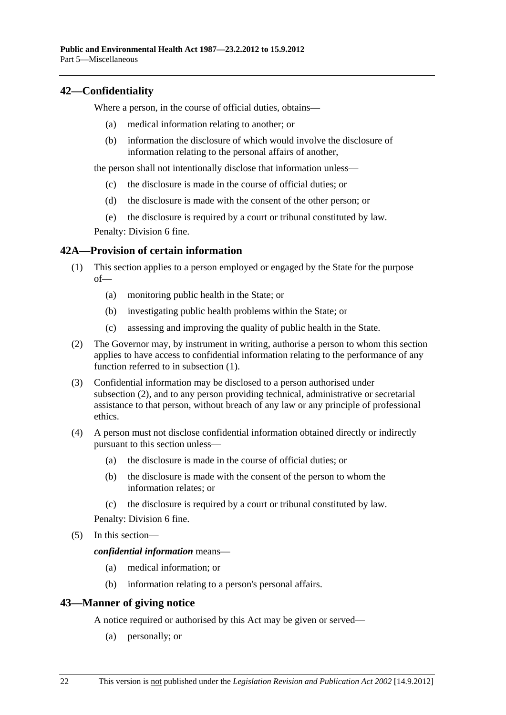## <span id="page-21-0"></span>**42—Confidentiality**

Where a person, in the course of official duties, obtains—

- (a) medical information relating to another; or
- (b) information the disclosure of which would involve the disclosure of information relating to the personal affairs of another,

the person shall not intentionally disclose that information unless—

- (c) the disclosure is made in the course of official duties; or
- (d) the disclosure is made with the consent of the other person; or
- (e) the disclosure is required by a court or tribunal constituted by law.

Penalty: Division 6 fine.

### **42A—Provision of certain information**

- (1) This section applies to a person employed or engaged by the State for the purpose of—
	- (a) monitoring public health in the State; or
	- (b) investigating public health problems within the State; or
	- (c) assessing and improving the quality of public health in the State.
- (2) The Governor may, by instrument in writing, authorise a person to whom this section applies to have access to confidential information relating to the performance of any function referred to in [subsection \(1\).](#page-21-0)
- (3) Confidential information may be disclosed to a person authorised under [subsection \(2\)](#page-21-0), and to any person providing technical, administrative or secretarial assistance to that person, without breach of any law or any principle of professional ethics.
- (4) A person must not disclose confidential information obtained directly or indirectly pursuant to this section unless—
	- (a) the disclosure is made in the course of official duties; or
	- (b) the disclosure is made with the consent of the person to whom the information relates; or
	- (c) the disclosure is required by a court or tribunal constituted by law.

Penalty: Division 6 fine.

(5) In this section—

*confidential information* means—

- (a) medical information; or
- (b) information relating to a person's personal affairs.

### **43—Manner of giving notice**

A notice required or authorised by this Act may be given or served—

(a) personally; or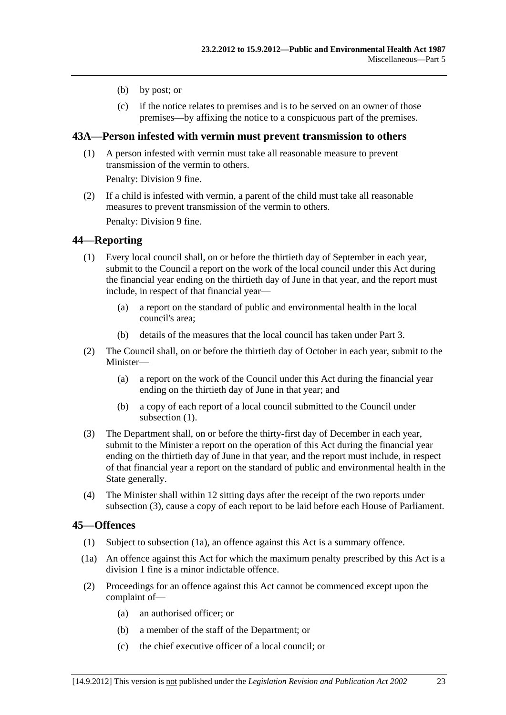- <span id="page-22-0"></span>(b) by post; or
- (c) if the notice relates to premises and is to be served on an owner of those premises—by affixing the notice to a conspicuous part of the premises.

### **43A—Person infested with vermin must prevent transmission to others**

 (1) A person infested with vermin must take all reasonable measure to prevent transmission of the vermin to others.

Penalty: Division 9 fine.

 (2) If a child is infested with vermin, a parent of the child must take all reasonable measures to prevent transmission of the vermin to others.

Penalty: Division 9 fine.

### **44—Reporting**

- (1) Every local council shall, on or before the thirtieth day of September in each year, submit to the Council a report on the work of the local council under this Act during the financial year ending on the thirtieth day of June in that year, and the report must include, in respect of that financial year—
	- (a) a report on the standard of public and environmental health in the local council's area;
	- (b) details of the measures that the local council has taken under [Part 3.](#page-7-0)
- (2) The Council shall, on or before the thirtieth day of October in each year, submit to the Minister—
	- (a) a report on the work of the Council under this Act during the financial year ending on the thirtieth day of June in that year; and
	- (b) a copy of each report of a local council submitted to the Council under subsection  $(1)$ .
- (3) The Department shall, on or before the thirty-first day of December in each year, submit to the Minister a report on the operation of this Act during the financial year ending on the thirtieth day of June in that year, and the report must include, in respect of that financial year a report on the standard of public and environmental health in the State generally.
- (4) The Minister shall within 12 sitting days after the receipt of the two reports under [subsection \(3\),](#page-22-0) cause a copy of each report to be laid before each House of Parliament.

### **45—Offences**

- (1) Subject to [subsection \(1a\),](#page-22-0) an offence against this Act is a summary offence.
- (1a) An offence against this Act for which the maximum penalty prescribed by this Act is a division 1 fine is a minor indictable offence.
- (2) Proceedings for an offence against this Act cannot be commenced except upon the complaint of—
	- (a) an authorised officer; or
	- (b) a member of the staff of the Department; or
	- (c) the chief executive officer of a local council; or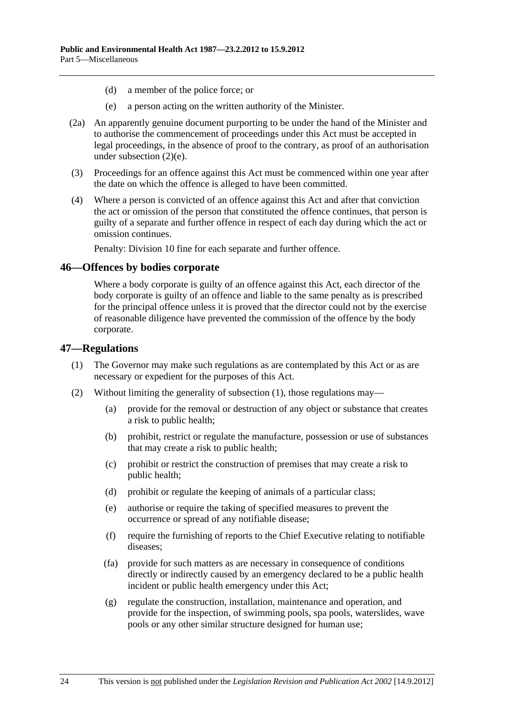- <span id="page-23-0"></span>(d) a member of the police force; or
- (e) a person acting on the written authority of the Minister.
- (2a) An apparently genuine document purporting to be under the hand of the Minister and to authorise the commencement of proceedings under this Act must be accepted in legal proceedings, in the absence of proof to the contrary, as proof of an authorisation under [subsection \(2\)\(e\)](#page-23-0).
- (3) Proceedings for an offence against this Act must be commenced within one year after the date on which the offence is alleged to have been committed.
- (4) Where a person is convicted of an offence against this Act and after that conviction the act or omission of the person that constituted the offence continues, that person is guilty of a separate and further offence in respect of each day during which the act or omission continues.

Penalty: Division 10 fine for each separate and further offence.

### **46—Offences by bodies corporate**

Where a body corporate is guilty of an offence against this Act, each director of the body corporate is guilty of an offence and liable to the same penalty as is prescribed for the principal offence unless it is proved that the director could not by the exercise of reasonable diligence have prevented the commission of the offence by the body corporate.

### **47—Regulations**

- (1) The Governor may make such regulations as are contemplated by this Act or as are necessary or expedient for the purposes of this Act.
- (2) Without limiting the generality of [subsection \(1\),](#page-23-0) those regulations may—
	- (a) provide for the removal or destruction of any object or substance that creates a risk to public health;
	- (b) prohibit, restrict or regulate the manufacture, possession or use of substances that may create a risk to public health;
	- (c) prohibit or restrict the construction of premises that may create a risk to public health;
	- (d) prohibit or regulate the keeping of animals of a particular class;
	- (e) authorise or require the taking of specified measures to prevent the occurrence or spread of any notifiable disease;
	- (f) require the furnishing of reports to the Chief Executive relating to notifiable diseases;
	- (fa) provide for such matters as are necessary in consequence of conditions directly or indirectly caused by an emergency declared to be a public health incident or public health emergency under this Act;
	- (g) regulate the construction, installation, maintenance and operation, and provide for the inspection, of swimming pools, spa pools, waterslides, wave pools or any other similar structure designed for human use;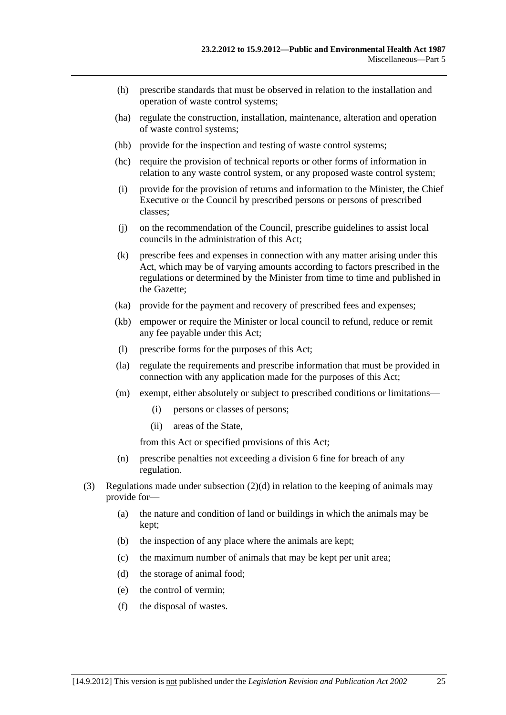- (h) prescribe standards that must be observed in relation to the installation and operation of waste control systems;
- (ha) regulate the construction, installation, maintenance, alteration and operation of waste control systems;
- (hb) provide for the inspection and testing of waste control systems;
- (hc) require the provision of technical reports or other forms of information in relation to any waste control system, or any proposed waste control system;
- (i) provide for the provision of returns and information to the Minister, the Chief Executive or the Council by prescribed persons or persons of prescribed classes;
- (j) on the recommendation of the Council, prescribe guidelines to assist local councils in the administration of this Act;
- (k) prescribe fees and expenses in connection with any matter arising under this Act, which may be of varying amounts according to factors prescribed in the regulations or determined by the Minister from time to time and published in the Gazette;
- (ka) provide for the payment and recovery of prescribed fees and expenses;
- (kb) empower or require the Minister or local council to refund, reduce or remit any fee payable under this Act;
- (l) prescribe forms for the purposes of this Act;
- (la) regulate the requirements and prescribe information that must be provided in connection with any application made for the purposes of this Act;
- (m) exempt, either absolutely or subject to prescribed conditions or limitations—
	- (i) persons or classes of persons;
	- (ii) areas of the State,

from this Act or specified provisions of this Act;

- (n) prescribe penalties not exceeding a division 6 fine for breach of any regulation.
- (3) Regulations made under subsection  $(2)(d)$  in relation to the keeping of animals may provide for—
	- (a) the nature and condition of land or buildings in which the animals may be kept;
	- (b) the inspection of any place where the animals are kept;
	- (c) the maximum number of animals that may be kept per unit area;
	- (d) the storage of animal food;
	- (e) the control of vermin;
	- (f) the disposal of wastes.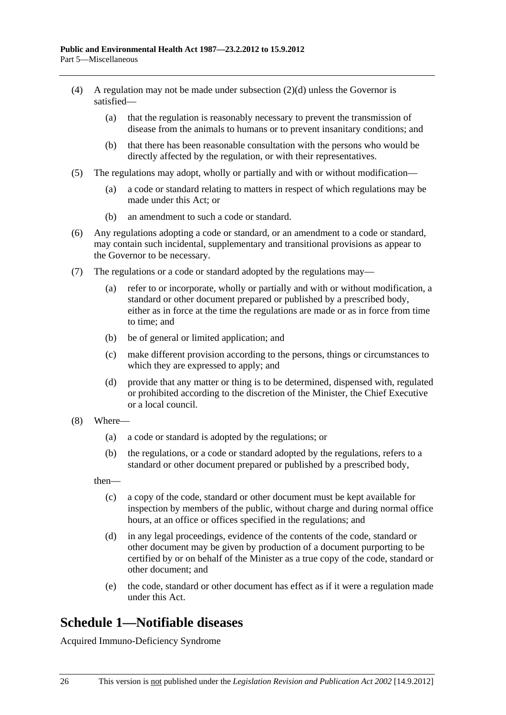- <span id="page-25-0"></span> (4) A regulation may not be made under [subsection \(2\)\(d\)](#page-23-0) unless the Governor is satisfied—
	- (a) that the regulation is reasonably necessary to prevent the transmission of disease from the animals to humans or to prevent insanitary conditions; and
	- (b) that there has been reasonable consultation with the persons who would be directly affected by the regulation, or with their representatives.
- (5) The regulations may adopt, wholly or partially and with or without modification—
	- (a) a code or standard relating to matters in respect of which regulations may be made under this Act; or
	- (b) an amendment to such a code or standard.
- (6) Any regulations adopting a code or standard, or an amendment to a code or standard, may contain such incidental, supplementary and transitional provisions as appear to the Governor to be necessary.
- (7) The regulations or a code or standard adopted by the regulations may—
	- (a) refer to or incorporate, wholly or partially and with or without modification, a standard or other document prepared or published by a prescribed body, either as in force at the time the regulations are made or as in force from time to time; and
	- (b) be of general or limited application; and
	- (c) make different provision according to the persons, things or circumstances to which they are expressed to apply; and
	- (d) provide that any matter or thing is to be determined, dispensed with, regulated or prohibited according to the discretion of the Minister, the Chief Executive or a local council.
- (8) Where—
	- (a) a code or standard is adopted by the regulations; or
	- (b) the regulations, or a code or standard adopted by the regulations, refers to a standard or other document prepared or published by a prescribed body,
	- then—
		- (c) a copy of the code, standard or other document must be kept available for inspection by members of the public, without charge and during normal office hours, at an office or offices specified in the regulations; and
		- (d) in any legal proceedings, evidence of the contents of the code, standard or other document may be given by production of a document purporting to be certified by or on behalf of the Minister as a true copy of the code, standard or other document; and
		- (e) the code, standard or other document has effect as if it were a regulation made under this Act.

# **Schedule 1—Notifiable diseases**

Acquired Immuno-Deficiency Syndrome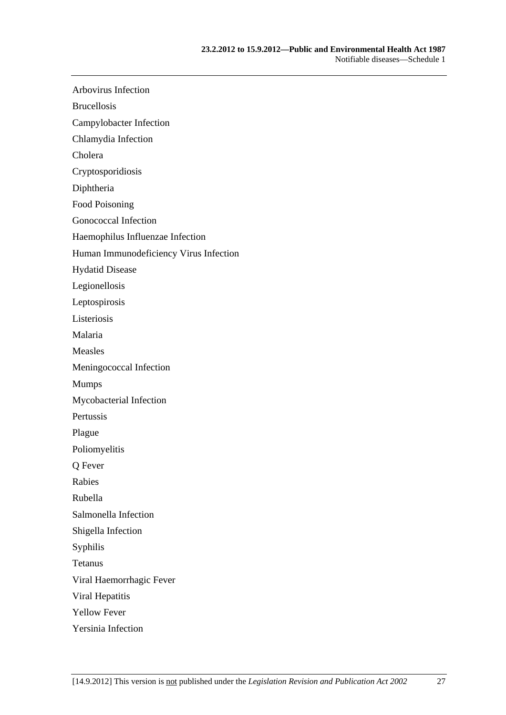Arbovirus Infection

Brucellosis

Campylobacter Infection

Chlamydia Infection

Cholera

Cryptosporidiosis

Diphtheria

Food Poisoning

Gonococcal Infection

Haemophilus Influenzae Infection

Human Immunodeficiency Virus Infection

Hydatid Disease

Legionellosis

Leptospirosis

Listeriosis

Malaria

Measles

Meningococcal Infection

Mumps

Mycobacterial Infection

Pertussis

Plague

Poliomyelitis

Q Fever

Rabies

Rubella

Salmonella Infection

Shigella Infection

Syphilis

Tetanus

Viral Haemorrhagic Fever

Viral Hepatitis

Yellow Fever

Yersinia Infection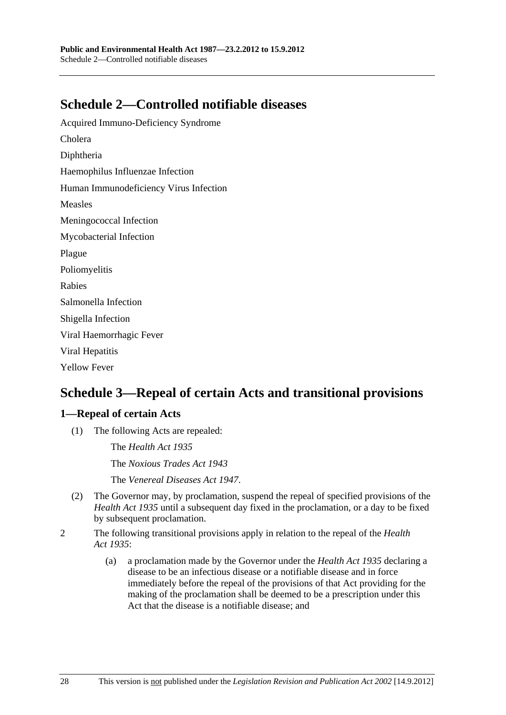# <span id="page-27-0"></span>**Schedule 2—Controlled notifiable diseases**

Acquired Immuno-Deficiency Syndrome Cholera Diphtheria Haemophilus Influenzae Infection Human Immunodeficiency Virus Infection Measles Meningococcal Infection Mycobacterial Infection Plague Poliomyelitis Rabies Salmonella Infection Shigella Infection Viral Haemorrhagic Fever Viral Hepatitis Yellow Fever

# **Schedule 3—Repeal of certain Acts and transitional provisions**

# **1—Repeal of certain Acts**

(1) The following Acts are repealed:

The *[Health Act 1935](http://www.legislation.sa.gov.au/index.aspx?action=legref&type=act&legtitle=Health%20Act%201935)* The *[Noxious Trades Act 1943](http://www.legislation.sa.gov.au/index.aspx?action=legref&type=act&legtitle=Noxious%20Trades%20Act%201943)* The *[Venereal Diseases Act 1947](http://www.legislation.sa.gov.au/index.aspx?action=legref&type=act&legtitle=Venereal%20Diseases%20Act%201947)*.

- (2) The Governor may, by proclamation, suspend the repeal of specified provisions of the *[Health Act 1935](http://www.legislation.sa.gov.au/index.aspx?action=legref&type=act&legtitle=Health%20Act%201935)* until a subsequent day fixed in the proclamation, or a day to be fixed by subsequent proclamation.
- 2 The following transitional provisions apply in relation to the repeal of the *[Health](http://www.legislation.sa.gov.au/index.aspx?action=legref&type=act&legtitle=Health%20Act%201935)  [Act 1935](http://www.legislation.sa.gov.au/index.aspx?action=legref&type=act&legtitle=Health%20Act%201935)*:
	- (a) a proclamation made by the Governor under the *[Health Act 1935](http://www.legislation.sa.gov.au/index.aspx?action=legref&type=act&legtitle=Health%20Act%201935)* declaring a disease to be an infectious disease or a notifiable disease and in force immediately before the repeal of the provisions of that Act providing for the making of the proclamation shall be deemed to be a prescription under this Act that the disease is a notifiable disease; and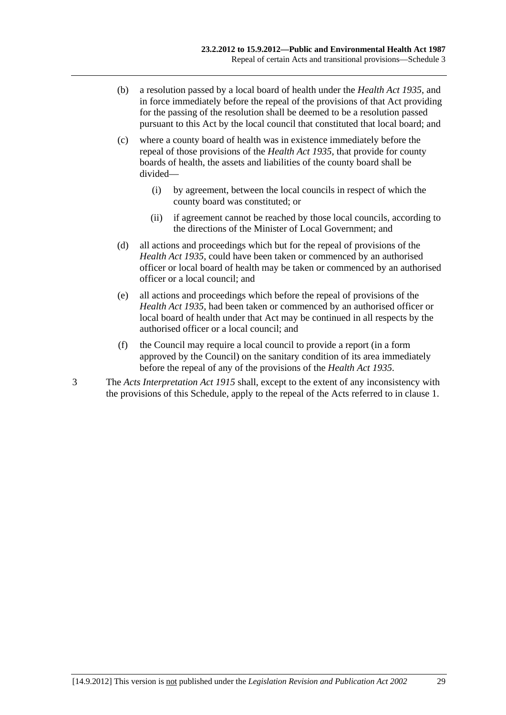- (b) a resolution passed by a local board of health under the *[Health Act 1935](http://www.legislation.sa.gov.au/index.aspx?action=legref&type=act&legtitle=Health%20Act%201935)*, and in force immediately before the repeal of the provisions of that Act providing for the passing of the resolution shall be deemed to be a resolution passed pursuant to this Act by the local council that constituted that local board; and
- (c) where a county board of health was in existence immediately before the repeal of those provisions of the *[Health Act 1935](http://www.legislation.sa.gov.au/index.aspx?action=legref&type=act&legtitle=Health%20Act%201935)*, that provide for county boards of health, the assets and liabilities of the county board shall be divided—
	- (i) by agreement, between the local councils in respect of which the county board was constituted; or
	- (ii) if agreement cannot be reached by those local councils, according to the directions of the Minister of Local Government; and
- (d) all actions and proceedings which but for the repeal of provisions of the *[Health Act 1935](http://www.legislation.sa.gov.au/index.aspx?action=legref&type=act&legtitle=Health%20Act%201935)*, could have been taken or commenced by an authorised officer or local board of health may be taken or commenced by an authorised officer or a local council; and
- (e) all actions and proceedings which before the repeal of provisions of the *[Health Act 1935](http://www.legislation.sa.gov.au/index.aspx?action=legref&type=act&legtitle=Health%20Act%201935)*, had been taken or commenced by an authorised officer or local board of health under that Act may be continued in all respects by the authorised officer or a local council; and
- (f) the Council may require a local council to provide a report (in a form approved by the Council) on the sanitary condition of its area immediately before the repeal of any of the provisions of the *[Health Act 1935](http://www.legislation.sa.gov.au/index.aspx?action=legref&type=act&legtitle=Health%20Act%201935)*.
- 3 The *[Acts Interpretation Act 1915](http://www.legislation.sa.gov.au/index.aspx?action=legref&type=act&legtitle=Acts%20Interpretation%20Act%201915)* shall, except to the extent of any inconsistency with the provisions of this Schedule, apply to the repeal of the Acts referred to in [clause 1](#page-27-0).

[14.9.2012] This version is not published under the *Legislation Revision and Publication Act 2002* 29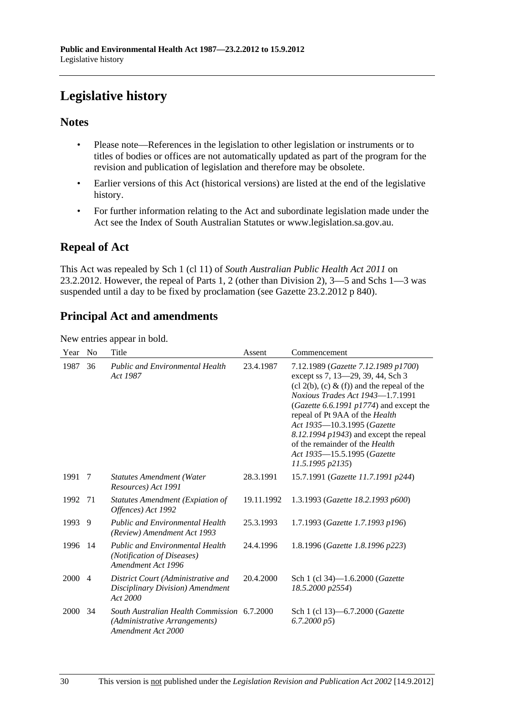# <span id="page-29-0"></span>**Legislative history**

## **Notes**

- Please note—References in the legislation to other legislation or instruments or to titles of bodies or offices are not automatically updated as part of the program for the revision and publication of legislation and therefore may be obsolete.
- Earlier versions of this Act (historical versions) are listed at the end of the legislative history.
- For further information relating to the Act and subordinate legislation made under the Act see the Index of South Australian Statutes or www.legislation.sa.gov.au.

# **Repeal of Act**

This Act was repealed by Sch 1 (cl 11) of *South Australian Public Health Act 2011* on 23.2.2012. However, the repeal of Parts 1, 2 (other than Division 2), 3—5 and Schs 1—3 was suspended until a day to be fixed by proclamation (see Gazette 23.2.2012 p 840).

# **Principal Act and amendments**

|                                                | New entries appear in bold. |
|------------------------------------------------|-----------------------------|
| $V_{\alpha\alpha r}$ $N_{\alpha}$ $T_{\alpha}$ |                             |

| Year | N <sub>o</sub> | Title                                                                                              | Assent     | Commencement                                                                                                                                                                                                                                                                                                                                                                                                          |
|------|----------------|----------------------------------------------------------------------------------------------------|------------|-----------------------------------------------------------------------------------------------------------------------------------------------------------------------------------------------------------------------------------------------------------------------------------------------------------------------------------------------------------------------------------------------------------------------|
| 1987 | 36             | <b>Public and Environmental Health</b><br>Act 1987                                                 | 23.4.1987  | 7.12.1989 (Gazette 7.12.1989 p1700)<br>except ss 7, 13-29, 39, 44, Sch 3<br>$(cl 2(b), (c) \& (f))$ and the repeal of the<br><i>Noxious Trades Act 1943</i> —1.7.1991<br>(Gazette 6.6.1991 p1774) and except the<br>repeal of Pt 9AA of the Health<br>Act 1935-10.3.1995 (Gazette<br>$8.12.1994$ $p1943$ ) and except the repeal<br>of the remainder of the Health<br>Act 1935-15.5.1995 (Gazette<br>11.5.1995 p2135) |
| 1991 | 7              | <b>Statutes Amendment (Water</b><br>Resources) Act 1991                                            | 28.3.1991  | 15.7.1991 (Gazette 11.7.1991 p244)                                                                                                                                                                                                                                                                                                                                                                                    |
| 1992 | 71             | <b>Statutes Amendment (Expiation of</b><br>Offences) Act 1992                                      | 19.11.1992 | 1.3.1993 (Gazette 18.2.1993 p600)                                                                                                                                                                                                                                                                                                                                                                                     |
| 1993 | 9              | <b>Public and Environmental Health</b><br>(Review) Amendment Act 1993                              | 25.3.1993  | 1.7.1993 (Gazette 1.7.1993 p196)                                                                                                                                                                                                                                                                                                                                                                                      |
| 1996 | -14            | <b>Public and Environmental Health</b><br>(Notification of Diseases)<br>Amendment Act 1996         | 24.4.1996  | 1.8.1996 (Gazette 1.8.1996 p223)                                                                                                                                                                                                                                                                                                                                                                                      |
| 2000 | -4             | District Court (Administrative and<br>Disciplinary Division) Amendment<br>Act 2000                 | 20.4.2000  | Sch 1 (cl 34)-1.6.2000 ( <i>Gazette</i><br>18.5.2000 p2554)                                                                                                                                                                                                                                                                                                                                                           |
| 2000 | 34             | South Australian Health Commission 6.7.2000<br>(Administrative Arrangements)<br>Amendment Act 2000 |            | Sch 1 (cl 13)–6.7.2000 ( <i>Gazette</i><br>6.7.2000 p5                                                                                                                                                                                                                                                                                                                                                                |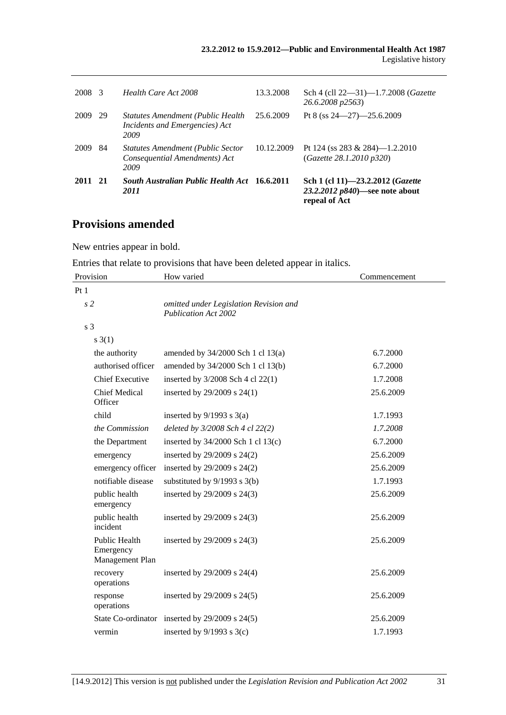| 2011   | -21 | <b>South Australian Public Health Act 16.6.2011</b><br>2011                       |            | Sch 1 (cl 11)-23.2.2012 ( <i>Gazette</i><br>23.2.2012 p840)—see note about<br>repeal of Act |
|--------|-----|-----------------------------------------------------------------------------------|------------|---------------------------------------------------------------------------------------------|
| 2009   | -84 | <b>Statutes Amendment (Public Sector</b><br>Consequential Amendments) Act<br>2009 | 10.12.2009 | Pt 124 (ss 283 & 284)—1.2.2010<br>(Gazette 28.1.2010 p320)                                  |
| 2009   | -29 | Statutes Amendment (Public Health<br>Incidents and Emergencies) Act<br>2009       | 25.6.2009  | Pt 8 (ss $24 - 27$ ) $-25.6.2009$                                                           |
| 2008 3 |     | Health Care Act 2008                                                              | 13.3.2008  | Sch 4 (cll 22-31)-1.7.2008 (Gazette<br>26.6.2008 p2563)                                     |
|        |     |                                                                                   |            |                                                                                             |

# **Provisions amended**

New entries appear in bold.

Entries that relate to provisions that have been deleted appear in italics.

| Provision                                     | How varied                                                            | Commencement |
|-----------------------------------------------|-----------------------------------------------------------------------|--------------|
| Pt1                                           |                                                                       |              |
| s <sub>2</sub>                                | omitted under Legislation Revision and<br><b>Publication Act 2002</b> |              |
| s <sub>3</sub>                                |                                                                       |              |
| $s \; 3(1)$                                   |                                                                       |              |
| the authority                                 | amended by $34/2000$ Sch 1 cl $13(a)$                                 | 6.7.2000     |
| authorised officer                            | amended by 34/2000 Sch 1 cl 13(b)                                     | 6.7.2000     |
| <b>Chief Executive</b>                        | inserted by 3/2008 Sch 4 cl 22(1)                                     | 1.7.2008     |
| <b>Chief Medical</b><br>Officer               | inserted by 29/2009 s 24(1)                                           | 25.6.2009    |
| child                                         | inserted by $9/1993$ s $3(a)$                                         | 1.7.1993     |
| the Commission                                | deleted by 3/2008 Sch 4 cl 22(2)                                      | 1.7.2008     |
| the Department                                | inserted by $34/2000$ Sch 1 cl $13(c)$                                | 6.7.2000     |
| emergency                                     | inserted by 29/2009 s 24(2)                                           | 25.6.2009    |
| emergency officer                             | inserted by 29/2009 s 24(2)                                           | 25.6.2009    |
| notifiable disease                            | substituted by $9/1993$ s $3(b)$                                      | 1.7.1993     |
| public health<br>emergency                    | inserted by 29/2009 s 24(3)                                           | 25.6.2009    |
| public health<br>incident                     | inserted by 29/2009 s 24(3)                                           | 25.6.2009    |
| Public Health<br>Emergency<br>Management Plan | inserted by 29/2009 s 24(3)                                           | 25.6.2009    |
| recovery<br>operations                        | inserted by 29/2009 s 24(4)                                           | 25.6.2009    |
| response<br>operations                        | inserted by 29/2009 s 24(5)                                           | 25.6.2009    |
|                                               | State Co-ordinator inserted by 29/2009 s 24(5)                        | 25.6.2009    |
| vermin                                        | inserted by $9/1993$ s $3(c)$                                         | 1.7.1993     |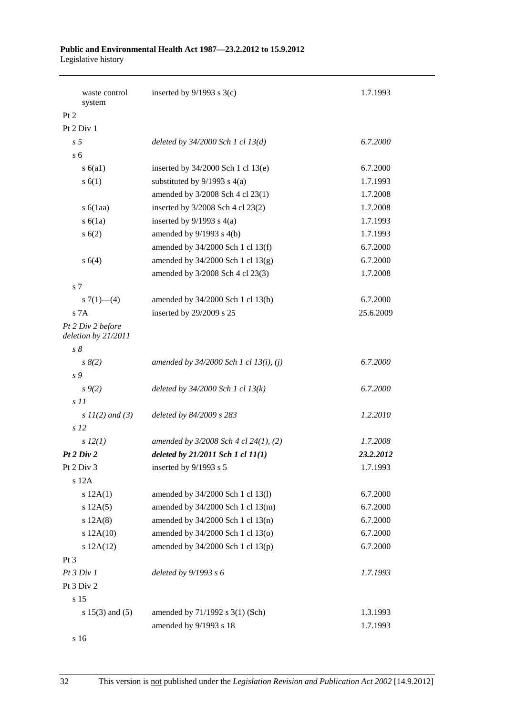#### **Public and Environmental Health Act 1987—23.2.2012 to 15.9.2012**  Legislative history

| waste control<br>system                  | inserted by $9/1993$ s 3(c)              | 1.7.1993  |
|------------------------------------------|------------------------------------------|-----------|
| Pt 2                                     |                                          |           |
| Pt 2 Div 1                               |                                          |           |
| s <sub>5</sub>                           | deleted by $34/2000$ Sch 1 cl $13(d)$    | 6.7.2000  |
| s <sub>6</sub>                           |                                          |           |
| s(6a1)                                   | inserted by $34/2000$ Sch 1 cl $13(e)$   | 6.7.2000  |
| s(6(1))                                  | substituted by $9/1993$ s $4(a)$         | 1.7.1993  |
|                                          | amended by 3/2008 Sch 4 cl 23(1)         | 1.7.2008  |
| s(1aa)                                   | inserted by 3/2008 Sch 4 cl 23(2)        | 1.7.2008  |
| s(6(1a))                                 | inserted by $9/1993$ s $4(a)$            | 1.7.1993  |
| s(6(2))                                  | amended by $9/1993$ s $4(b)$             | 1.7.1993  |
|                                          | amended by 34/2000 Sch 1 cl 13(f)        | 6.7.2000  |
| s 6(4)                                   | amended by 34/2000 Sch 1 cl 13(g)        | 6.7.2000  |
|                                          | amended by 3/2008 Sch 4 cl 23(3)         | 1.7.2008  |
| s <sub>7</sub>                           |                                          |           |
| s $7(1)$ —(4)                            | amended by 34/2000 Sch 1 cl 13(h)        | 6.7.2000  |
| S <sub>7A</sub>                          | inserted by 29/2009 s 25                 | 25.6.2009 |
| Pt 2 Div 2 before<br>deletion by 21/2011 |                                          |           |
| $s\delta$                                |                                          |           |
| $s \, 8(2)$                              | amended by $34/2000$ Sch 1 cl 13(i), (j) | 6.7.2000  |
| s 9                                      |                                          |           |
| $s \, 9(2)$                              | deleted by $34/2000$ Sch 1 cl $13(k)$    | 6.7.2000  |
| s <sub>11</sub>                          |                                          |           |
| $s$ 11(2) and (3)                        | deleted by 84/2009 s 283                 | 1.2.2010  |
| s <sub>12</sub>                          |                                          |           |
| $s\,12(1)$                               | amended by $3/2008$ Sch 4 cl 24(1), (2)  | 1.7.2008  |
| Pt 2 Div 2                               | deleted by $21/2011$ Sch 1 cl $11(1)$    | 23.2.2012 |
| Pt 2 Div 3                               | inserted by 9/1993 s 5                   | 1.7.1993  |
| s 12A                                    |                                          |           |
| s 12A(1)                                 | amended by 34/2000 Sch 1 cl 13(l)        | 6.7.2000  |
| s 12A(5)                                 | amended by 34/2000 Sch 1 cl 13(m)        | 6.7.2000  |
| s 12A(8)                                 | amended by 34/2000 Sch 1 cl 13(n)        | 6.7.2000  |
| s 12A(10)                                | amended by 34/2000 Sch 1 cl 13(o)        | 6.7.2000  |
| s 12A(12)                                | amended by 34/2000 Sch 1 cl 13(p)        | 6.7.2000  |
| Pt <sub>3</sub>                          |                                          |           |
| Pt 3 Div 1                               | deleted by $9/1993 s 6$                  | 1.7.1993  |
| Pt 3 Div 2                               |                                          |           |
| s 15                                     |                                          |           |
| s $15(3)$ and $(5)$                      | amended by 71/1992 s 3(1) (Sch)          | 1.3.1993  |
|                                          | amended by 9/1993 s 18                   | 1.7.1993  |

s 16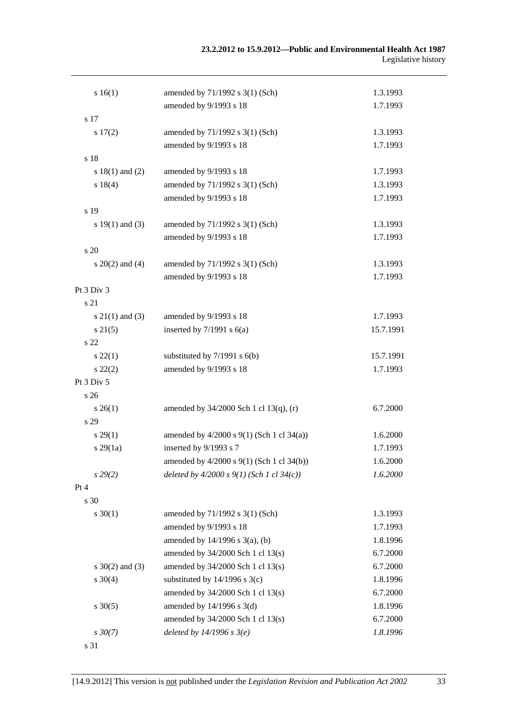| s 16(1)             | amended by 71/1992 s 3(1) (Sch)               | 1.3.1993  |
|---------------------|-----------------------------------------------|-----------|
|                     | amended by 9/1993 s 18                        | 1.7.1993  |
| s 17                |                                               |           |
| s 17(2)             | amended by 71/1992 s 3(1) (Sch)               | 1.3.1993  |
|                     | amended by 9/1993 s 18                        | 1.7.1993  |
| s 18                |                                               |           |
| s $18(1)$ and $(2)$ | amended by 9/1993 s 18                        | 1.7.1993  |
| s 18(4)             | amended by 71/1992 s 3(1) (Sch)               | 1.3.1993  |
|                     | amended by 9/1993 s 18                        | 1.7.1993  |
| s 19                |                                               |           |
| s $19(1)$ and $(3)$ | amended by 71/1992 s 3(1) (Sch)               | 1.3.1993  |
|                     | amended by 9/1993 s 18                        | 1.7.1993  |
| s 20                |                                               |           |
| $s \ 20(2)$ and (4) | amended by 71/1992 s 3(1) (Sch)               | 1.3.1993  |
|                     | amended by 9/1993 s 18                        | 1.7.1993  |
| Pt 3 Div 3          |                                               |           |
| s 21                |                                               |           |
| $s \ 21(1)$ and (3) | amended by 9/1993 s 18                        | 1.7.1993  |
| $s \, 21(5)$        | inserted by $7/1991$ s $6(a)$                 | 15.7.1991 |
| s <sub>22</sub>     |                                               |           |
| $s\,22(1)$          | substituted by $7/1991$ s $6(b)$              | 15.7.1991 |
| $s\ 22(2)$          | amended by 9/1993 s 18                        | 1.7.1993  |
| Pt 3 Div 5          |                                               |           |
| s 26                |                                               |           |
| $s \, 26(1)$        | amended by 34/2000 Sch 1 cl 13(q), (r)        | 6.7.2000  |
| s 29                |                                               |           |
| $s\,29(1)$          | amended by $4/2000$ s $9(1)$ (Sch 1 cl 34(a)) | 1.6.2000  |
| $s\,29(1a)$         | inserted by 9/1993 s 7                        | 1.7.1993  |
|                     | amended by $4/2000$ s $9(1)$ (Sch 1 cl 34(b)) | 1.6.2000  |
| $s\,29(2)$          | deleted by $4/2000 s 9(1)$ (Sch 1 cl 34(c))   | 1.6.2000  |
| Pt 4                |                                               |           |
| s 30                |                                               |           |
| $s \ 30(1)$         | amended by 71/1992 s 3(1) (Sch)               | 1.3.1993  |
|                     | amended by 9/1993 s 18                        | 1.7.1993  |
|                     | amended by $14/1996$ s $3(a)$ , (b)           | 1.8.1996  |
|                     | amended by 34/2000 Sch 1 cl 13(s)             | 6.7.2000  |
| s $30(2)$ and $(3)$ | amended by $34/2000$ Sch 1 cl $13(s)$         | 6.7.2000  |
| $s \ 30(4)$         | substituted by $14/1996$ s $3(c)$             | 1.8.1996  |
|                     | amended by 34/2000 Sch 1 cl 13(s)             | 6.7.2000  |
| $s \ 30(5)$         | amended by $14/1996$ s $3(d)$                 | 1.8.1996  |
|                     | amended by 34/2000 Sch 1 cl 13(s)             | 6.7.2000  |
| $s \, 30(7)$        | deleted by $14/1996 s 3(e)$                   | 1.8.1996  |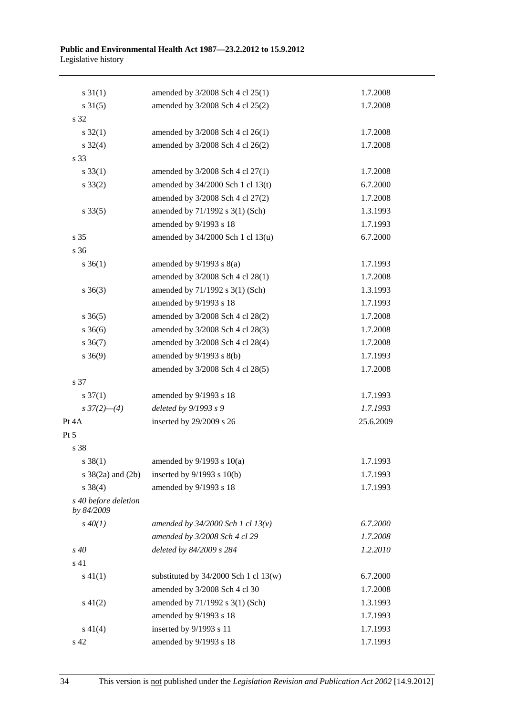#### **Public and Environmental Health Act 1987—23.2.2012 to 15.9.2012**  Legislative history

| $s \, 31(1)$                       | amended by 3/2008 Sch 4 cl 25(1)          | 1.7.2008  |
|------------------------------------|-------------------------------------------|-----------|
| $s \, 31(5)$                       | amended by 3/2008 Sch 4 cl 25(2)          | 1.7.2008  |
| s 32                               |                                           |           |
| $s \, 32(1)$                       | amended by 3/2008 Sch 4 cl 26(1)          | 1.7.2008  |
| $s \, 32(4)$                       | amended by 3/2008 Sch 4 cl 26(2)          | 1.7.2008  |
| s 33                               |                                           |           |
| $s \, 33(1)$                       | amended by 3/2008 Sch 4 cl 27(1)          | 1.7.2008  |
| $s \, 33(2)$                       | amended by 34/2000 Sch 1 cl 13(t)         | 6.7.2000  |
|                                    | amended by 3/2008 Sch 4 cl 27(2)          | 1.7.2008  |
| $s \, 33(5)$                       | amended by 71/1992 s 3(1) (Sch)           | 1.3.1993  |
|                                    | amended by 9/1993 s 18                    | 1.7.1993  |
| s 35                               | amended by 34/2000 Sch 1 cl 13(u)         | 6.7.2000  |
| s 36                               |                                           |           |
| $s \, 36(1)$                       | amended by $9/1993$ s $8(a)$              | 1.7.1993  |
|                                    | amended by 3/2008 Sch 4 cl 28(1)          | 1.7.2008  |
| $s \; 36(3)$                       | amended by 71/1992 s 3(1) (Sch)           | 1.3.1993  |
|                                    | amended by 9/1993 s 18                    | 1.7.1993  |
| $s \; 36(5)$                       | amended by 3/2008 Sch 4 cl 28(2)          | 1.7.2008  |
| $s \; 36(6)$                       | amended by 3/2008 Sch 4 cl 28(3)          | 1.7.2008  |
| $s \; 36(7)$                       | amended by 3/2008 Sch 4 cl 28(4)          | 1.7.2008  |
| $s \; 36(9)$                       | amended by $9/1993$ s $8(b)$              | 1.7.1993  |
|                                    | amended by 3/2008 Sch 4 cl 28(5)          | 1.7.2008  |
| s 37                               |                                           |           |
| $s \frac{37(1)}{2}$                | amended by 9/1993 s 18                    | 1.7.1993  |
| $s \frac{37(2) - (4)}{2}$          | deleted by $9/1993 s 9$                   | 1.7.1993  |
| Pt 4A                              | inserted by 29/2009 s 26                  | 25.6.2009 |
| Pt 5                               |                                           |           |
| s 38                               |                                           |           |
| $s \, 38(1)$                       | amended by $9/1993$ s $10(a)$             | 1.7.1993  |
| s $38(2a)$ and $(2b)$              | inserted by $9/1993$ s $10(b)$            | 1.7.1993  |
| $s \ 38(4)$                        | amended by 9/1993 s 18                    | 1.7.1993  |
| s 40 before deletion<br>by 84/2009 |                                           |           |
| $s\,40(1)$                         | amended by $34/2000$ Sch 1 cl $13(v)$     | 6.7.2000  |
|                                    | amended by 3/2008 Sch 4 cl 29             | 1.7.2008  |
| $s\,40$                            | deleted by 84/2009 s 284                  | 1.2.2010  |
| s 41                               |                                           |           |
| $s\ 41(1)$                         | substituted by $34/2000$ Sch 1 cl $13(w)$ | 6.7.2000  |
|                                    | amended by 3/2008 Sch 4 cl 30             | 1.7.2008  |
| $s\ 41(2)$                         | amended by 71/1992 s 3(1) (Sch)           | 1.3.1993  |
|                                    | amended by 9/1993 s 18                    | 1.7.1993  |
| $s\ 41(4)$                         | inserted by 9/1993 s 11                   | 1.7.1993  |
| s 42                               | amended by 9/1993 s 18                    | 1.7.1993  |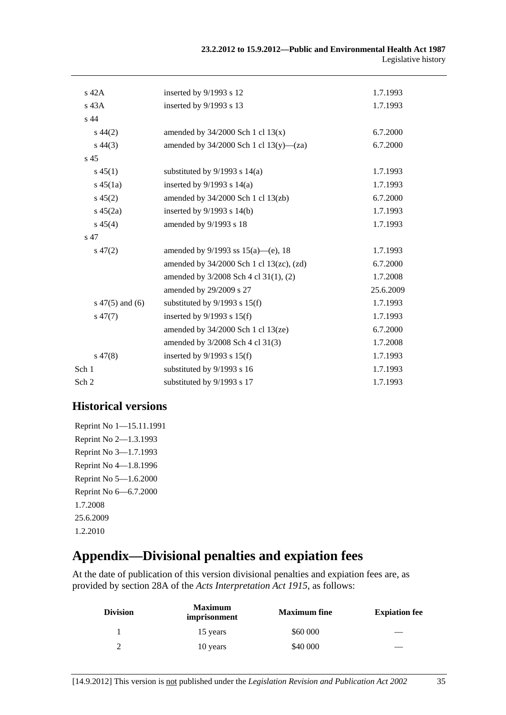<span id="page-34-0"></span>

| s 42A              | inserted by 9/1993 s 12                         | 1.7.1993  |
|--------------------|-------------------------------------------------|-----------|
| s 43A              | inserted by 9/1993 s 13                         | 1.7.1993  |
| s 44               |                                                 |           |
| $s\,44(2)$         | amended by $34/2000$ Sch 1 cl $13(x)$           | 6.7.2000  |
| $s\,44(3)$         | amended by $34/2000$ Sch 1 cl $13(y)$ —(za)     | 6.7.2000  |
| s <sub>45</sub>    |                                                 |           |
| $s\,45(1)$         | substituted by $9/1993$ s $14(a)$               | 1.7.1993  |
| $s\,45(1a)$        | inserted by $9/1993$ s $14(a)$                  | 1.7.1993  |
| $s\,45(2)$         | amended by $34/2000$ Sch 1 cl $13$ (zb)         | 6.7.2000  |
| $s\,45(2a)$        | inserted by $9/1993$ s $14(b)$                  | 1.7.1993  |
| $s\,45(4)$         | amended by 9/1993 s 18                          | 1.7.1993  |
| s 47               |                                                 |           |
| $s\,47(2)$         | amended by $9/1993$ ss $15(a)$ —(e), 18         | 1.7.1993  |
|                    | amended by $34/2000$ Sch 1 cl $13(zc)$ , $(zd)$ | 6.7.2000  |
|                    | amended by 3/2008 Sch 4 cl 31(1), (2)           | 1.7.2008  |
|                    | amended by 29/2009 s 27                         | 25.6.2009 |
| $s\ 47(5)$ and (6) | substituted by $9/1993$ s $15(f)$               | 1.7.1993  |
| $s\,47(7)$         | inserted by $9/1993$ s $15(f)$                  | 1.7.1993  |
|                    | amended by $34/2000$ Sch 1 cl $13(ze)$          | 6.7.2000  |
|                    | amended by 3/2008 Sch 4 cl 31(3)                | 1.7.2008  |
| $s\,47(8)$         | inserted by $9/1993$ s $15(f)$                  | 1.7.1993  |
| Sch 1              | substituted by 9/1993 s 16                      | 1.7.1993  |
| Sch 2              | substituted by 9/1993 s 17                      | 1.7.1993  |
|                    |                                                 |           |

# **Historical versions**

```
Reprint No 1—15.11.1991 
Reprint No 2—1.3.1993 
Reprint No 3—1.7.1993 
Reprint No 4—1.8.1996 
Reprint No 5—1.6.2000 
Reprint No 6—6.7.2000 
1.7.2008 
25.6.2009 
1.2.2010
```
# **Appendix—Divisional penalties and expiation fees**

At the date of publication of this version divisional penalties and expiation fees are, as provided by section 28A of the *[Acts Interpretation Act 1915](http://www.legislation.sa.gov.au/index.aspx?action=legref&type=act&legtitle=Acts%20Interpretation%20Act%201915)*, as follows:

| <b>Division</b> | <b>Maximum</b><br>imprisonment | <b>Maximum</b> fine | <b>Expiation fee</b> |
|-----------------|--------------------------------|---------------------|----------------------|
|                 | 15 years                       | \$60 000            |                      |
|                 | 10 years                       | \$40 000            |                      |